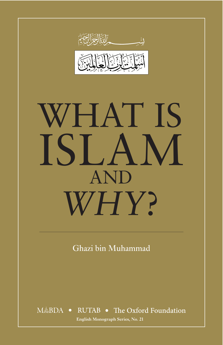

# WHAT IS ISLAM AND *WHY*?

Ghazi bin Muhammad

**English Monograph Series, No. 21** M&BDA . RUTAB . The Oxford Foundation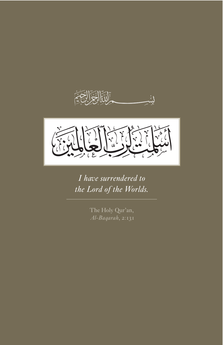



*I have surrendered to the Lord of the Worlds.* 

The Holy Qur'an,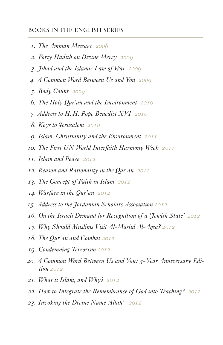#### BOOKS IN THE ENGLISH SERIES

- *1. The Amman Message 2008*
- *2. Forty Hadith on Divine Mercy 2009*
- *3. Jihad and the Islamic Law of War 2009*
- *4. A Common Word Between Us and You 2009*
- *5. Body Count 2009*
- *6. The Holy Qur'an and the Environment 2010*
- *7. Address to H.H. Pope Benedict XVI 2010*
- *8. Keys to Jerusalem 2010*
- *9. Islam, Christianity and the Environment 2011*
- *10. The First UN World Interfaith Harmony Week 2011*
- *11. Islam and Peace 2012*
- *12. Reason and Rationality in the Qur'an 2012*
- *13. The Concept of Faith in Islam 2012*
- *14. Warfare in the Qur'an 2012*
- *15. Address to the Jordanian Scholars Association 2012*
- *16. On the Israeli Demand for Recognition of a 'Jewish State' 2012*
- *17. Why Should Muslims Visit Al-Masjid Al-Aqsa? 2012*
- *18. The Qur'an and Combat 2012*
- *19. Condemning Terrorism 2012*
- *20. A Common Word Between Us and You: 5-Year Anniversary Edition 2012*
- *21. What is Islam, and Why? 2012*
- *22. How to Integrate the Remembrance of God into Teaching? 2012*
- *23. Invoking the Divine Name 'Allah' 2012*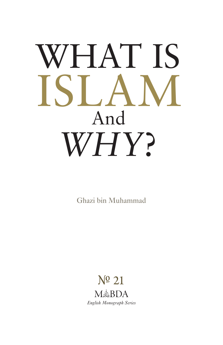# WHAT IS SL, And *WHY*?

Ghazi bin Muhammad

### № 21 **M&BDA** *English Monograph Series*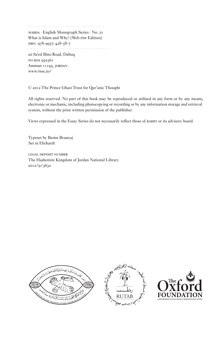· · · · · · · · · · · · · · · · · · · · · · · · · · · · · · · · · · · · · mabda · English Monograph Series · No. 21 What is Islam and Why? (Web PDF Edition) isbn: 978-9957-428-58-7

20 Sa'ed Bino Road, Dabuq po box 950361 Amman 11195, jordan www.rissc.jo/

© 2012 The Prince Ghazi Trust for Qur'anic Thought

All rights reserved. No part of this book may be reproduced or utilised in any form or by any means, electronic or mechanic, including photocopying or recording or by any information storage and retrieval system, without the prior written permission of the publisher.

Views expressed in the Essay Series do not necessarily reflect those of RABIIT or its advisory board.

Typeset by Besim Bruncaj Set in Ehrhardt

legal deposit number The Hashemite Kingdom of Jordan National Library 2012/9/3632

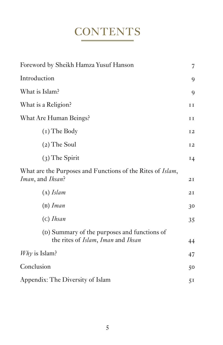## **CONTENTS**

| Foreword by Sheikh Hamza Yusuf Hanson                                                          | $\overline{7}$ |
|------------------------------------------------------------------------------------------------|----------------|
| Introduction                                                                                   | 9              |
| What is Islam?                                                                                 | 9              |
| What is a Religion?                                                                            | $_{\rm II}$    |
| What Are Human Beings?                                                                         | ${\rm I\,I}$   |
| (1) The Body                                                                                   | 12             |
| $(2)$ The Soul                                                                                 | 12             |
| $(3)$ The Spirit                                                                               | 14             |
| What are the Purposes and Functions of the Rites of Islam,<br><i>Iman</i> , and <i>Ihsan</i> ? | 2I             |
| $(A)$ Islam                                                                                    | 2I             |
| (B) In an                                                                                      | 30             |
| $(c)$ <i>Ihsan</i>                                                                             | 35             |
| (D) Summary of the purposes and functions of<br>the rites of Islam, Iman and Ihsan             | 44             |
| $Why$ is Islam?                                                                                | 47             |
| Conclusion                                                                                     | 50             |
| Appendix: The Diversity of Islam                                                               | 5 <sub>I</sub> |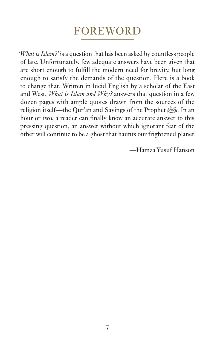## FOREWORD

*'What is Islam?'* is a question that has been asked by countless people of late. Unfortunately, few adequate answers have been given that are short enough to fulfill the modern need for brevity, but long enough to satisfy the demands of the question. Here is a book to change that. Written in lucid English by a scholar of the East and West, *What is Islam and Why?* answers that question in a few dozen pages with ample quotes drawn from the sources of the religion itself—the Qur'an and Sayings of the Prophet !. In an hour or two, a reader can finally know an accurate answer to this pressing question, an answer without which ignorant fear of the other will continue to be a ghost that haunts our frightened planet.

—Hamza Yusuf Hanson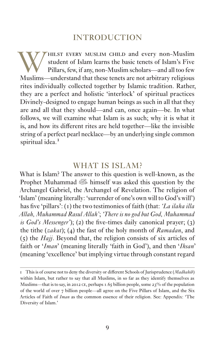#### INTRODUCTION

WHILST EVERY MUSLIM CHILD and every non-Muslim<br>student of Islam learns the basic tenets of Islam's Five<br>Pillars, few, if any, non-Muslim scholars—and all too few<br>Muslims—understand that these tenets are not arbitrary relig student of Islam learns the basic tenets of Islam's Five Pillars, few, if any, non-Muslim scholars—and all too few Muslims—understand that these tenets are not arbitrary religious rites individually collected together by Islamic tradition. Rather, they are a perfect and holistic 'interlock' of spiritual practices Divinely-designed to engage human beings as such in all that they are and all that they should—and can, once again—be. In what follows, we will examine what Islam is as such; why it is what it is, and how its different rites are held together—like the invisible string of a perfect pearl necklace—by an underlying single common spiritual idea.<sup>1</sup>

#### WHAT IS ISLAM?

What is Islam? The answer to this question is well-known, as the Prophet Muhammad  $\mathbb{E}$  himself was asked this question by the Archangel Gabriel, the Archangel of Revelation. The religion of 'Islam' (meaning literally: 'surrender of one's own will to God's will') has five 'pillars': (1) the two testimonies of faith (that: '*La ilaha illa Allah, Muhammad Rasul Allah'*; *'There is no god but God, Muhammad is God's Messenger'*); (2) the five-times daily canonical prayer; (3) the tithe (*zakat*); (4) the fast of the holy month of *Ramadan*, and (5) the *Hajj*. Beyond that, the religion consists of six articles of faith or '*Iman*' (meaning literally 'faith in God'), and then '*Ihsan*' (meaning 'excellence' but implying virtue through constant regard

<sup>1</sup> This is of course not to deny the diversity or different Schools of Jurisprudence (*Madhahib*) within Islam, but rather to say that all Muslims, in so far as they identify themselves as Muslims—that is to say, in 2012 CE, perhaps 1.65 billion people, some 23% of the population of the world of over 7 billion people—all agree on the Five Pillars of Islam, and the Six Articles of Faith of *Iman* as the common essence of their religion. See: Appendix: 'The Diversity of Islam.'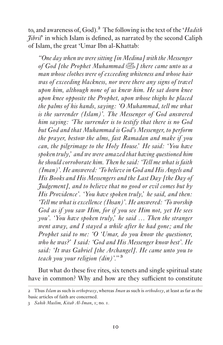to, and awareness of, God).2 The following is the text of the '*Hadith*   $\hat{f}_i$ *ibril*' in which Islam is defined, as narrated by the second Caliph of Islam, the great 'Umar Ibn al-Khattab:

*"One day when we were sitting [in Medina] with the Messenger of God [the Prophet Muhammad* !*] there came unto us a man whose clothes were of exceeding whiteness and whose hair was of exceeding blackness, nor were there any signs of travel upon him, although none of us knew him. He sat down knee upon knee opposite the Prophet, upon whose thighs he placed the palms of his hands, saying: 'O Muhammad, tell me what is the surrender (Islam)'. The Messenger of God answered him saying: 'The surrender is to testify that there is no God but God and that Muhammad is God's Messenger, to perform the prayer, bestow the alms, fast Ramadan and make if you can, the pilgrimage to the Holy House.' He said: 'You have spoken truly,' and we were amazed that having questioned him he should corroborate him. Then he said: 'Tell me what is faith (Iman)'. He answered: 'To believe in God and His Angels and His Books and His Messengers and the Last Day [the Day of Judgement], and to believe that no good or evil comes but by His Providence'. 'You have spoken truly,' he said, and then: 'Tell me what is excellence (Ihsan)'. He answered: 'To worship God as if you saw Him, for if you see Him not, yet He sees you'. 'You have spoken truly,' he said … Then the stranger went away, and I stayed a while after he had gone; and the Prophet said to me: 'O 'Umar, do you know the questioner, who he was?' I said: 'God and His Messenger know best'. He said: 'It was Gabriel [the Archangel]. He came unto you to teach you your religion (din)'."* 3

But what do these five rites, six tenets and single spiritual state have in common? Why and how are they sufficient to constitute

<sup>2</sup> Thus *Islam* as such is *orthopraxy*, whereas *Iman* as such is *orthodoxy*, at least as far as the basic articles of faith are concerned.

<sup>3</sup> *Sahih Muslim, Kitab Al-Iman*, 1; no. 1.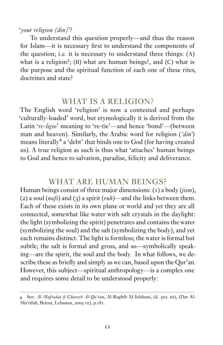#### '*your religion (din)*'?

To understand this question properly—and thus the reason for Islam—it is necessary first to understand the components of the question; i.e. it is necessary to understand three things: (A) what is a religion?; (B) what are human beings?, and (C) what is the purpose and the spiritual function of each one of these rites, doctrines and state?

#### WHAT IS A RELIGION?

The English word 'religion' is now a contested and perhaps 'culturally-loaded' word, but etymologically it is derived from the Latin '*re-ligio*' meaning to 're-tie'—and hence 'bond'—(between man and heaven). Similarly, the Arabic word for religion (*'din'*) means literally<sup>4</sup> a 'debt' that binds one to God (for having created us). A true religion as such is thus what 'attaches' human beings to God and hence to salvation, paradise, felicity and deliverance.

### WHAT ARE HUMAN BEINGS?

Human beings consist of three major dimensions: (1) a body (*jism*), (2) a soul (*nafs*) and (3) a spirit (*ruh*)—and the links between them. Each of these exists in its own plane or world and yet they are all connected, somewhat like water with salt crystals in the daylight: the light (symbolizing the spirit) penetrates and contains the water (symbolizing the soul) and the salt (symbolizing the body), and yet each remains distinct. The light is formless; the water is formal but subtle; the salt is formal and gross, and so—symbolically speaking—are the spirit, the soul and the body. In what follows, we describe these as briefly and simply as we can, based upon the Qur'an. However, this subject—spiritual anthropology—is a complex one and requires some detail to be understood properly:

<sup>4</sup> See: Al-Mufradat fi Ghareeb Al-Qu'ran, Al-Raghib Al-Isfahani, (d. 502 AH), (Dar Al-Ma'rifah, Beirut, Lebanon, 2005 ce), p.181.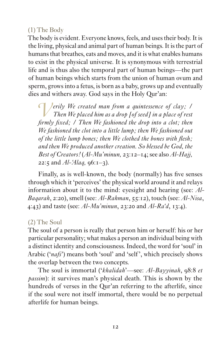#### (1) The Body

The body is evident. Everyone knows, feels, and uses their body. It is the living, physical and animal part of human beings. It is the part of humans that breathes, eats and moves, and it is what enables humans to exist in the physical universe. It is synonymous with terrestrial life and is thus also the temporal part of human beings—the part of human beings which starts from the union of human ovum and sperm, grows into a fetus, is born as a baby, grows up and eventually dies and withers away. God says in the Holy Qur'an:

V*erily We created man from a quintessence of clay; / Then We placed him as a drop [of seed] in a place of rest firmly fixed; / Then We fashioned the drop into a clot; then We fashioned the clot into a little lump; then We fashioned out of the little lump bones; then We clothed the bones with flesh; and then We produced another creation. So blessed be God, the Best of Creators!* (Al-Mu'minun, 23:12–14; see also Al-Hajj, 22:5 and  $Al-Alaa$ ,  $96:1-3$ ).

Finally, as is well-known, the body (normally) has five senses through which it 'perceives' the physical world around it and relays information about it to the mind: eyesight and hearing (see: *Al-Baqarah*, 2:20), smell (see: *Al-Rahman*, 55:12), touch (see: *Al-Nisa*, 4:43) and taste (see: *Al-Mu'minun*, 23:20 and *Al-Ra'd*, 13:4).

#### (2) The Soul

The soul of a person is really that person him or herself: his or her particular personality; what makes a person an individual being with a distinct identity and consciousness. Indeed, the word for 'soul' in Arabic ('*nafs*') means both 'soul' and 'self ', which precisely shows the overlap between the two concepts.

The soul is immortal ('*khalidah*'—see: *Al-Bayyinah*, 98:8 *et passim*): it survives man's physical death. This is shown by the hundreds of verses in the Qur'an referring to the afterlife, since if the soul were not itself immortal, there would be no perpetual afterlife for human beings.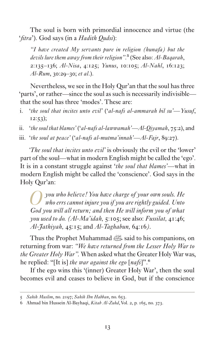The soul is born with primordial innocence and virtue (the '*+tra*'). God says (in a *Hadith Qudsi*):

*"I have created My servants pure in religion (hunafa) but the devils lure them away from their religion"*.5 (See also: *Al-Baqarah*, 2:135–136; *Al-Nisa*, 4:125; *Yunus*, 10:105; *Al-Nahl*, 16:123; *Al-Rum*, 30:29–30; *et al*.).

Nevertheless, we see in the Holy Qur'an that the soul has three 'parts', or rather—since the soul as such is necessarily indivisible that the soul has three 'modes'. These are:

- i. '*the soul that incites unto evil'* ('*al-nafs al-ammarah bil su'*—*Yusuf*,  $12:53);$
- ii. '*the soul that blames'* ('*al-nafs al-lawwamah'*—*Al-Qiyamah*, 75:2), and
- iii. '*the soul at peace'* ('*al-nafs al-mutma'innah'*—*Al-Fajr*, 89:27).

*'The soul that incites unto evil'* is obviously the evil or the 'lower' part of the soul—what in modern English might be called the 'ego'. It is in a constant struggle against '*the soul that blames'*—what in modern English might be called the 'conscience'. God says in the Holy Qur'an:

O*you who believe! You have charge of your own souls. He who errs cannot injure you if you are rightly guided. Unto God you will all return; and then He will inform you of what you used to do. (Al-Ma'idah,* 5:105; see also: *Fussilat,* 41:46; *Al-Jathiyah,* 45:15; and *Al-Taghabun,* 64:16*).*

Thus the Prophet Muhammad ! said to his companions, on returning from war: *"We have returned from the Lesser Holy War to the Greater Holy War".* When asked what the Greater Holy War was, he replied: "[It is] *the war against the ego* [*nafs*]".6

If the ego wins this '(inner) Greater Holy War', then the soul becomes evil and ceases to believe in God, but if the conscience

<sup>5</sup> *Sahih Muslim*, no. 2197; *Sahih Ibn Habban*, no. 653.

<sup>6</sup> Ahmad bin Hussein Al-Bayhaqi, *Kitab Al-Zuhd*, Vol. 2, p. 165, no. 373.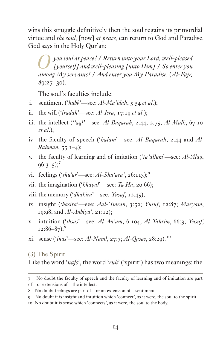wins this struggle definitively then the soul regains its primordial virtue and *the soul,* [now] *at peace,* can return to God and Paradise. God says in the Holy Qur'an:

O*you soul at peace! / Return unto your Lord, well-pleased [yourself] and well-pleasing [unto Him] / So enter you among My servants! / And enter you My Paradise.* (*Al-Fajr,*   $80:27-30$ .

The soul's faculties include:

- i. sentiment ('*hubb*'—see: *Al-Ma'idah*, 5:54 *et al*.);
- ii. the will ('*iradah*'—see: *Al-Isra*, 17:19 *et al*.);
- iii. the intellect ('*'aql*'—see: *Al-Baqarah*, 2:44; 2:75; *Al-Mulk*, 67:10 *et al*.);
- iv. the faculty of speech ('*kalam*'—see: *Al-Baqarah*, 2:44 and *Al-Rahman*, 55:1–4);
- v. the faculty of learning and of imitation ('*ta'allum*'—see: *Al-'Alaq*,  $96:3-5$ ;<sup>7</sup>
- vi. feelings ('*shu'ur*'—see: *Al-Shu'ara'*, 26:113);8
- vii. the imagination ('*khayal*'—see: *Ta Ha*, 20:66);
- viii.the memory ('*dhakira*'—see: *Yusuf*, 12:45);
- ix. insight ('*basira*'—see: *Aal-'Imran*, 3:52; *Yusuf*, 12:87; *Maryam*, 19:98; and *Al-Anbiya*', 21:12);
- x. intuition ('*ihsas*'—see: *Al-An'am*, 6:104; *Al-Tahrim*, 66:3; *Yusuf*,  $12:86-87$ ;<sup>9</sup>
- xi. sense ('*inas*'—see: *Al-Naml*, 27:7; *Al-Qasas*, 28:29).10

#### (3) The Spirit

Like the word '*nafs*', the word '*ruh*' ('spirit') has two meanings: the

10 No doubt it is sense which 'connects', as it were, the soul to the body.

<sup>7</sup> No doubt the faculty of speech and the faculty of learning and of imitation are part of—or extensions of—the intellect.

<sup>8</sup> No doubt feelings are part of—or an extension of—sentiment.

<sup>9</sup> No doubt it is insight and intuition which 'connect', as it were, the soul to the spirit.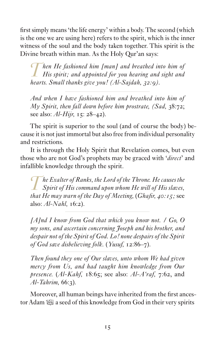first simply means 'the life energy' within a body. The second (which is the one we are using here) refers to the spirit, which is the inner witness of the soul and the body taken together. This spirit is the Divine breath within man. As the Holy Qur'an says:

**Then He fashioned him [man] and breathed into him of** *His spirit; and appointed for you hearing and sight and hearts. Small thanks give you! (Al-Sajdah, 32:9).*

*And when I have fashioned him and breathed into him of My Spirit, then fall down before him prostrate, (Sad,* 38:72; see also: *Al-Hijr,* 15: 28–42).

The spirit is superior to the soul (and of course the body) because it is not just immortal but also free from individual personality and restrictions.

It is through the Holy Spirit that Revelation comes, but even those who are not God's prophets may be graced with '*direct*' and infallible knowledge through the spirit.

T*he Exalter of Ranks, the Lord of the Throne. He causes the Spirit of His command upon whom He will of His slaves, that He may warn of the Day of Meeting, (Ghafir, 40:15; see* also: *Al-Nahl,* 16:2).

*[A]nd I know from God that which you know not. / Go, O my sons, and ascertain concerning Joseph and his brother, and despair not of the Spirit of God. Lo! none despairs of the Spirit of God save disbelieving folk.* (*Yusuf,* 12:86–7).

*Then found they one of Our slaves, unto whom We had given mercy from Us, and had taught him knowledge from Our presence.* (*Al-Kahf,* 18:65; see also: *Al-A'raf,* 7:62, and *Al-Tahrim*, 66:3).

Moreover, all human beings have inherited from the first ancestor Adam  $\mathbb{R}$  a seed of this knowledge from God in their very spirits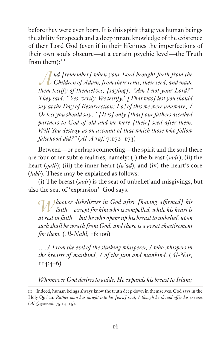before they were even born. It is this spirit that gives human beings the ability for speech and a deep innate knowledge of the existence of their Lord God (even if in their lifetimes the imperfections of their own souls obscure—at a certain psychic level—the Truth from them): $11$ 

A*nd [remember] when your Lord brought forth from the Children of Adam, from their reins, their seed, and made them testify of themselves, [saying]: "Am I not your Lord?" They said: "Yes, verily. We testify." [That was] lest you should say at the Day of Resurrection: Lo! of this we were unaware; / Or lest you should say: "[It is] only [that] our fathers ascribed partners to God of old and we were [their] seed after them. Will You destroy us on account of that which those who follow falsehood did?"* (*Al-A'raf,* 7:172–173)

Between—or perhaps connecting—the spirit and the soul there are four other subtle realities, namely: (i) the breast (*sadr*); (ii) the heart (*qalb*); (iii) the inner heart (*fu'ad*), and (iv) the heart's core (*lubb*). These may be explained as follows:

(i) The breast (*sadr*) is the seat of unbelief and misgivings, but also the seat of 'expansion'. God says:

*M* hoever disbelieves in God after [having affirmed] his *faith—except for him who is compelled, while his heart is at rest in faith—but he who opens up his breast to unbelief, upon such shall be wrath from God, and there is a great chastisement for them.* (*Al-Nahl,* 16:106)

*…./ From the evil of the slinking whisperer, / who whispers in the breasts of mankind, / of the jinn and mankind.* (*Al-Nas,*  114:4–6)

*Whomever God desires to guide, He expands his breast to Islam;* 

<sup>11</sup> Indeed, human beings always know the truth deep down in themselves. God says in the Holy Qur'an: *Rather man has insight into his [own] soul, / though he should offer his excuses.* (*Al-Qiyamah*, 75:14–15).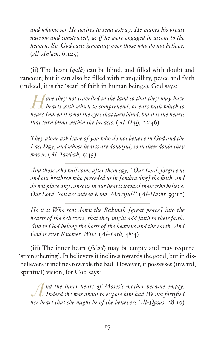*and whomever He desires to send astray, He makes his breast narrow and constricted, as if he were engaged in ascent to the heaven. So, God casts ignominy over those who do not believe.*  (*Al-An'am,* 6:125)

(ii) The heart  $(galb)$  can be blind, and filled with doubt and rancour; but it can also be filled with tranquillity, peace and faith (indeed, it is the 'seat' of faith in human beings). God says:

H*ave they not travelled in the land so that they may have hearts with which to comprehend, or ears with which to hear? Indeed it is not the eyes that turn blind, but it is the hearts that turn blind within the breasts.* (*Al-Hajj,* 22:46)

*They alone ask leave of you who do not believe in God and the Last Day, and whose hearts are doubtful, so in their doubt they waver.* (*Al-Tawbah,* 9:45)

*And those who will come after them say, "Our Lord, forgive us and our brethren who preceded us in [embracing] the faith, and do not place any rancour in our hearts toward those who believe. Our Lord, You are indeed Kind, Merciful!"* (*Al-Hashr,* 59:10)

*He it is Who sent down the Sakinah [great peace] into the hearts of the believers, that they might add faith to their faith. And to God belong the hosts of the heavens and the earth. And God is ever Knower, Wise.* (*Al-Fath,* 48:4)

(iii) The inner heart (*fu'ad*) may be empty and may require 'strengthening'. In believers it inclines towards the good, but in disbelievers it inclines towards the bad. However, it possesses (inward, spiritual) vision, for God says:

A<sup>nd</sup> the inner heart of Moses's mother became empty.<br>*Indeed she was about to expose him had We not fortified her heart that she might be of the believers* (*Al-Qasas,* 28:10)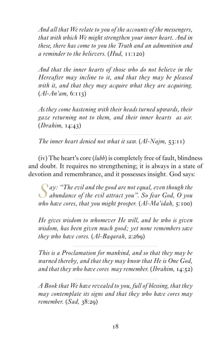*And all that We relate to you of the accounts of the messengers, that with which We might strengthen your inner heart. And in these, there has come to you the Truth and an admonition and a reminder to the believers.* (*Hud,* 11:120)

*And that the inner hearts of those who do not believe in the Hereafter may incline to it, and that they may be pleased with it, and that they may acquire what they are acquiring.*  (*Al-An'am,* 6:113)

*As they come hastening with their heads turned upwards, their gaze returning not to them, and their inner hearts as air.*  (*Ibrahim,* 14:43)

*The inner heart denied not what it saw.* (*Al-Najm,* 53:11)

(iv) The heart's core (*lubb*) is completely free of fault, blindness and doubt. It requires no strengthening; it is always in a state of devotion and remembrance, and it possesses insight. God says:

S ay: "The evil and the good are not equal, even though the<br>abundance of the evil attract you". So fear God, O you *who have cores, that you might prosper.* (*Al-Ma'idah,* 5:100)

*He gives wisdom to whomever He will, and he who is given wisdom, has been given much good; yet none remembers save they who have cores.* (*Al-Baqarah,* 2:269)

*This is a Proclamation for mankind, and so that they may be warned thereby, and that they may know that He is One God, and that they who have cores may remember.* (*Ibrahim,* 14:52)

*A Book that We have revealed to you, full of blessing, that they may contemplate its signs and that they who have cores may remember.* (*Sad,* 38:29)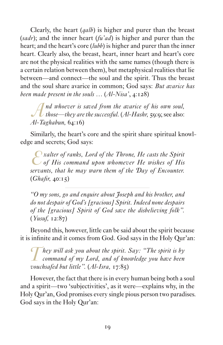Clearly, the heart (*qalb*) is higher and purer than the breast (*sadr*); and the inner heart (*fu'ad*) is higher and purer than the heart; and the heart's core (*lubb*) is higher and purer than the inner heart. Clearly also, the breast, heart, inner heart and heart's core are not the physical realities with the same names (though there is a certain relation between them), but metaphysical realities that lie between—and connect—the soul and the spirit. Thus the breast and the soul share avarice in common; God says: *But avarice has been made present in the souls …* (*Al-Nisa'*, 4:128)

A*nd whoever is saved from the avarice of his own soul, those—they are the successful.* (*Al-Hashr,* 59:9; see also: *Al-Taghabun,* 64:16)

Similarly, the heart's core and the spirit share spiritual knowledge and secrets; God says:

E*xalter of ranks, Lord of the Throne, He casts the Spirit of His command upon whomever He wishes of His servants, that he may warn them of the Day of Encounter.*   $(Ghafir, 40:15)$ 

*"O my sons, go and enquire about Joseph and his brother, and do not despair of God's [gracious] Spirit. Indeed none despairs of the [gracious] Spirit of God save the disbelieving folk".*  (*Yusuf,* 12:87)

Beyond this, however, little can be said about the spirit because it is infinite and it comes from God. God says in the Holy Qur'an:

T*hey will ask you about the spirit. Say: "The spirit is by command of my Lord, and of knowledge you have been vouchsafed but little".* (*Al-Isra,* 17:85)

However, the fact that there is in every human being both a soul and a spirit—two 'subjectivities', as it were—explains why, in the Holy Qur'an, God promises every single pious person two paradises. God says in the Holy Qur'an: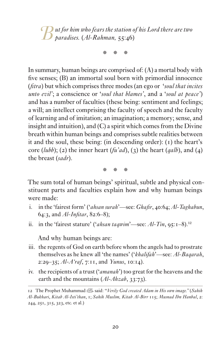B*ut for him who fears the station of his Lord there are two paradises.* (*Al-Rahman,* 55:46)

\* \* \*

In summary, human beings are comprised of: (A) a mortal body with five senses; (B) an immortal soul born with primordial innocence (*+tra*) but which comprises three modes (an ego or '*soul that incites unto evil'*; a conscience or '*soul that blames'*, and a '*soul at peace'*) and has a number of faculties (these being: sentiment and feelings; a will; an intellect comprising the faculty of speech and the faculty of learning and of imitation; an imagination; a memory; sense, and insight and intuition), and (C) a spirit which comes from the Divine breath within human beings and comprises subtle realities between it and the soul, these being: (in descending order): (1) the heart's core (*lubb*); (2) the inner heart (*fu'ad*), (3) the heart (*qalb*), and (4) the breast (*sadr*).

※ ※ ※

The sum total of human beings' spiritual, subtle and physical constituent parts and faculties explain how and why human beings were made:

- i. in the 'fairest form' ('*ahsan surah'*—see: *Ghafir*, 40:64; *Al-Taghabun*,  $64:3$ , and *Al-Infitar*, 82:6–8);
- ii. in the 'fairest stature' ('*ahsan taqwim*'—see:  $Al-Tin$ ,  $95:1-8$ ).<sup>12</sup>

And why human beings are:

- iii. the regents of God on earth before whom the angels had to prostrate themselves as he knew all 'the names' ('*khalifah*'—see: *Al-Baqarah*, 2:29–35; *Al-A'raf*, 7:11, and *Yunus*, 10:14).
- iv. the recipients of a trust ('*amanah*') too great for the heavens and the earth and the mountains (*Al-Ahzab*, 33:73).

<sup>12</sup> The Prophet Muhammad ! said: "*Verily God created Adam in His own image."* (*Sahih Al-Bukhari*, *Kitab Al-Isti'than*, 1; *Sahih Muslim, Kitab Al-Birr* 115; *Musnad Ibn Hanbal*, 2: 244, 251, 315, 323, etc. et al.)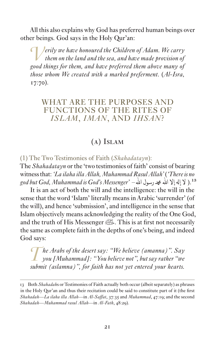All this also explains why God has preferred human beings over other beings. God says in the Holy Qur'an:

V*erily we have honoured the Children of Adam. We carry them on the land and the sea, and have made provision of good things for them, and have preferred them above many of those whom We created with a marked preferment.* (*Al-Isra,*  17:70).

#### WHAT ARE THE PURPOSES AND FUNCTIONS OF THE RITES OF *ISLAM*, *IMAN*, AND *IHSAN*?

#### (a) Islam

(1) The Two Testimonies of Faith (*Shahadatayn*):

The *Shahadatayn* or the 'two testimonies of faith' consist of bearing witness that: *'La ilaha illa Allah, Muhammad Rasul Allah'* (*'There is no*  29 .<sup>13</sup> إلا الله مجد رسول الله – "god but God, Muhammad is God's Messenger<br>المجمد المستمر " # ) 1 " # 9 = ) & 9 =

It is an act of both the will and the intelligence: the will in the sense that the word 'Islam' literally means in Arabic 'surrender' (of the will), and hence 'submission', and intelligence in the sense that Islam objectively means acknowledging the reality of the One God, and the truth of His Messenger . يَخْلِيْنَا This is at first not necessarily the same as complete faith in the depths of one's being, and indeed God says:

T*he Arabs of the desert say: "We believe (amanna)". Say you [Muhammad]: "You believe not", but say rather "we submit (aslamna)", for faith has not yet entered your hearts.* 

<sup>13</sup> Both *Shahadah*s or Testimonies of Faith actually both occur (albeit separately) as phrases in the Holy Qur'an and thus their recitation could be said to constitute part of it (the first *Shahadah—La ilaha illa Allah—in Al-Saffat*, 37:35 and *Muhammad*, 47:19; and the second *Shahadah*—*Muhammad rasul Allah*—in *Al-Fath*, 48:29).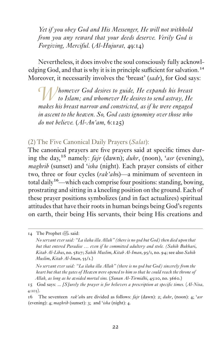*Yet if you obey God and His Messenger, He will not withhold from you any reward that your deeds deserve. Verily God is Forgiving, Merciful.* (*Al-Hujurat,* 49:14)

Nevertheless, it does involve the soul consciously fully acknowledging God, and that is why it is in principle sufficient for salvation.<sup>14</sup> Moreover, it necessarily involves the 'breast' (*sadr*), for God says:

W*homever God desires to guide, He expands his breast to Islam; and whomever He desires to send astray, He makes his breast narrow and constricted, as if he were engaged in ascent to the heaven. So, God casts ignominy over those who do not believe.* (*Al-An'am,* 6:125)

(2) The Five Canonical Daily Prayers (*Salat*):

The canonical prayers are five prayers said at specific times during the day,15 namely: *fajr* (dawn); *duhr*, (noon), '*asr* (evening), *maghrib* (sunset) and '*isha* (night). Each prayer consists of either two, three or four cycles (*rak'ah*s)—a minimum of seventeen in total daily<sup>16</sup>—which each comprise four positions: standing, bowing, prostrating and sitting in a kneeling position on the ground. Each of these prayer positions symbolizes (and in fact actualizes) spiritual attitudes that have their roots in human beings being God's regents on earth, their being His servants, their being His creations and

*No servant ever said: "La ilaha illa Allah" (there is no god but God) sincerely from the heart but that the gates of Heaven were opened to him so that he could reach the throne of Allah, as long as he avoided mortal sins.* (*Sunan Al-Tirmidhi*, 45:10, no. 3660.)

<sup>14</sup> The Prophet التي said:

*No servant ever said: "La ilaha illa Allah" (there is no god but God) then died upon that but that entered Paradise … even if he committed adultery and stole. (Sahih Bukhari*, *Kitab Al-Libas*, no. 5827; *Sahih Muslim*, *Kitab Al-Iman*, 95/1, no. 94; see also *Sahih Muslim*, *Kitab Al-Iman*, 55/1.)

<sup>15</sup> God says: ... *[S]urely the prayer is for believers a prescription at specific times. (Al-Nisa,* 4:103).

<sup>16</sup> The seventeen *rak'ah*s are divided as follows: *fajr* (dawn): 2; *duhr*, (noon): 4; '*asr* (evening): 4; *maghrib* (sunset): 3; and '*isha* (night): 4.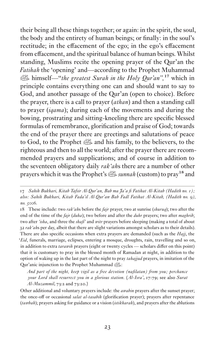their being all these things together; or again: in the spirit, the soul, the body and the entirety of human beings; or finally: in the soul's rectitude; in the effacement of the ego; in the ego's effacement from effacement, and the spiritual balance of human beings. Whilst standing, Muslims recite the opening prayer of the Qur'an the *Fatihah* the 'opening' and—according to the Prophet Muhammad ! himself—"*the greatest Surah in the Holy Qur'an",*17 which in principle contains everything one can and should want to say to God, and another passage of the Qur'an (open to choice). Before the prayer, there is a call to prayer (*athan*) and then a standing call to prayer (*iqama*); during each of the movements and during the bowing, prostrating and sitting-kneeling there are specific blessed formulas of remembrance, glorification and praise of God; towards the end of the prayer there are greetings and salutations of peace to God, to the Prophet  $\mathbb{R}^2$  and his family, to the believers, to the righteous and then to all the world; after the prayer there are recommended prayers and supplications; and of course in addition to the seventeen obligatory daily *rak'ah*s there are a number of other prayers which it was the Prophet's !*sunnah* (custom) to pray18 and

18 These include: two *rak'ah*s before the *fajr* prayer, two at sunrise (*shuruq*); two after the end of the time of the *fajr* (*duha*); two before and after the *duhr* prayers; two after *maghrib*; two after *'isha*, and three the *shafi'* and *witr* prayers before sleeping (making a total of about 32 *rak'ah*s per day, albeit that there are slight variations amongst scholars as to their details). There are also specific occasions when extra prayers are demanded (such as the  $Haij$ , the '*Eid*, funerals, marriage, eclipses, entering a mosque, droughts, rain, travelling and so on, in addition to extra *tarawih* prayers (eight or twenty cycles — scholars differ on this point) that it is customary to pray in the blessed month of Ramadan at night, in addition to the option of waking up in the last part of the night to pray *tahajjud* prayers, in imitation of the Qur'anic injunction to the Prophet Muhammad

*And part of the night, keep vigil as a free devotion (nafilatan) from you; perchance your Lord shall resurrect you in a glorious station.* (*Al-Isra'*, 17:79; see also *Surat Al-Muzammil*, 73:2 and 73:20.)

Other additional and voluntary prayers include: the *awabin* prayers after the sunset prayer; the once-off or occasional *salat al-tasabih* (glorification prayer); prayers after repentance (*tawbah*); prayers asking for guidance or a vision (*istikharah*), and prayers after the ablutions

<sup>17</sup> Sahih Bukhari, Kitab Tafsir Al-Qur'an, Bab ma <sup>J</sup>a'a fi Fatihat Al-Kitab (Hadith no. 1); *also: Sahih Bukhari, Kitab Fada'il Al-Qur'an*, *Bab Fadl Fatihat Al-Kitab, (Hadith no. 9), no. 5006.*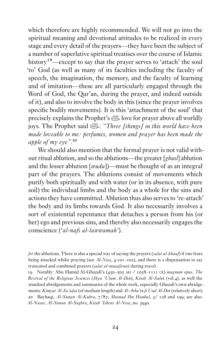which therefore are highly recommended. We will not go into the spiritual meaning and devotional attitudes to be realized in every stage and every detail of the prayers—they have been the subject of a number of superlative spiritual treatises over the course of Islamic history<sup>19</sup>—except to say that the prayer serves to 'attach' the soul 'to' God (as well as many of its faculties including the faculty of speech, the imagination, the memory, and the faculty of learning and of imitation—these are all particularly engaged through the Word of God, the Qur'an, during the prayer, and indeed outside of it), and also to involve the body in this (since the prayer involves specific bodily movements). It is this 'attachment of the soul' that precisely explains the Prophet's ! love for prayer above all worldly joys. The Prophet said !: *"Three [things] in this world have been made loveable to me: perfumes, women and prayer has been made the apple of my eye".*20

We should also mention that the formal prayer is not valid without ritual ablution, and so the ablutions—the greater [*ghusl*] ablution and the lesser ablution [*wudu*])—must be thought of as an integral part of the prayers. The ablutions consist of movements which purify both spiritually and with water (or in its absence, with pure soil) the individual limbs and the body as a whole for the sins and actions they have committed. Ablution thus also serves to 're-attach' the body and its limbs towards God. It also necessarily involves a sort of existential repentance that detaches a person from his (or her) ego and previous sins, and thereby also necessarily engages the conscience ('*al-nafs al-lawwamah'*).

*for* the ablutions. There is also a special way of saying the prayers (*salat al-khauf*) if one fears being attacked whilst praying (see *Al-Nisa*, 4:101–102), and there is a dispensation to say truncated and combined prayers (salat al-musafirun) during travel.

<sup>19</sup> Notably: Abu Hamid Al-Ghazali's (450–505 ah / 1058–1111 ce) *magnum opus, The Revival of the Religious Sciences* (*Ihya 'Ulum Al-Din*), *Kitab Al-Sala*t (vol.4), as well the standard abridgements and summaries of the whole work, especially Ghazali's own abridgements: *Kimyat Al-Sa'adat* (of medium length) and *Al-Arba'in fi Usul Al-Din* (relatively short). 20 Bayhaqi, *Al-Sunan Al-Kubra*, 7/87; *Musnad Ibn Hanbal*, 3/ 128 and 199; see also: *Al-Nasai, Al-Sunan Al-Sughra, Kitab 'Ishrat Al-Nisa*, no. 3940.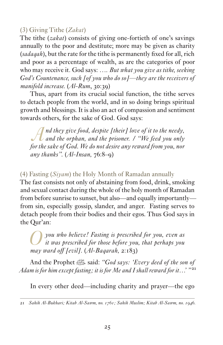#### (3) Giving Tithe (*Zakat*)

The tithe (*zakat*) consists of giving one-fortieth of one's savings annually to the poor and destitute; more may be given as charity  $(sadaqah)$ , but the rate for the tithe is permanently fixed for all, rich and poor as a percentage of wealth, as are the categories of poor who may receive it. God says: *…. But what you give as tithe, seeking God's Countenance, such [of you who do so]—they are the receivers of manifold increase.* (*Al-Rum*, 30:39)

Thus, apart from its crucial social function, the tithe serves to detach people from the world, and in so doing brings spiritual growth and blessings. It is also an act of compassion and sentiment towards others, for the sake of God. God says:

A*nd they give food, despite [their] love of it to the needy, and the orphan, and the prisoner. / "We feed you only for the sake of God. We do not desire any reward from you, nor any thanks".* (*Al-Insan,* 76:8–9)

(4) Fasting (*Siyam*) the Holy Month of Ramadan annually

The fast consists not only of abstaining from food, drink, smoking and sexual contact during the whole of the holy month of Ramadan from before sunrise to sunset, but also—and equally importantly from sin, especially gossip, slander, and anger. Fasting serves to detach people from their bodies and their egos. Thus God says in the Qur'an:

O*you who believe! Fasting is prescribed for you, even as it was prescribed for those before you, that perhaps you may ward off [evil].* (Al-Bagarah, 2:183)

And the Prophet ! said: *"God says: 'Every deed of the son of Adam is for him except fasting; it is for Me and I shall reward for it...'* "21

In every other deed—including charity and prayer—the ego

<sup>21</sup> *Sahih Al-Bukhari; Kitab Al-Sawm, no. 1761; Sahih Muslim; Kitab Al-Sawm, no. 1946.*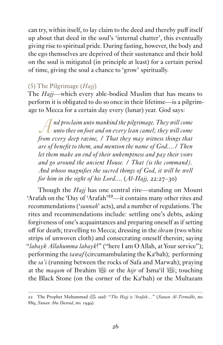can try, within itself, to lay claim to the deed and thereby puff itself up about that deed in the soul's 'internal chatter', this eventually giving rise to spiritual pride. During fasting, however, the body and the ego themselves are deprived of their sustenance and their hold on the soul is mitigated (in principle at least) for a certain period of time, giving the soul a chance to 'grow' spiritually.

#### (5) The Pilgrimage (*Hajj*)

The *Hajj*—which every able-bodied Muslim that has means to perform it is obligated to do so once in their lifetime—is a pilgrimage to Mecca for a certain day every (lunar) year. God says:

A*nd proclaim unto mankind the pilgrimage. They will come unto thee on foot and on every lean camel; they will come from every deep ravine, / That they may witness things that*  are of benefit to them, and mention the name of God..../ Then *let them make an end of their unkemptness and pay their vows and go around the ancient House. / That (is the command). And whoso magnifies the sacred things of God, it will be well for him in the sight of his Lord....* (*Al-Hajj,* 22:27–30)

Though the *Hajj* has one central rite—standing on Mount 'Arafah on the 'Day of 'Arafah'22—it contains many other rites and recommendations ('*sunnah*' acts), and a number of regulations. The rites and recommendations include: settling one's debts, asking forgiveness of one's acquaintances and preparing oneself as if setting off for death; travelling to Mecca; dressing in the *ihram* (two white strips of unwoven cloth) and consecrating oneself therein; saying "*labayk Allahumma labayk*!" ("here I am O Allah, at Your service"); performing the *tawaf* (circumambulating the Ka'bah); performing the *sa'i* (running between the rocks of Safa and Marwah); praying at the *magam* of Ibrahim  $\mathbb{H}$  or the *hijr* of Isma'il  $\mathbb{H}$ ; touching the Black Stone (on the corner of the Ka'bah) or the Multazam

<sup>22</sup> The Prophet Muhammad ! said: "*The Hajj is 'Arafah…*" (*Sunan Al-Tirmidhi*, no. 889; *Sunan Abu Dawud*, no. 1949).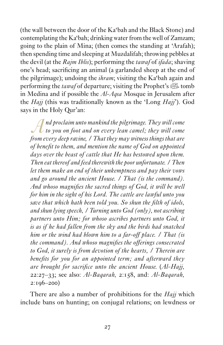(the wall between the door of the Ka'bah and the Black Stone) and contemplating the Ka'bah; drinking water from the well of Zamzam; going to the plain of Mina; (then comes the standing at 'Arafah); then spending time and sleeping at Muzdalifah; throwing pebbles at the devil (at the *Rajm Iblis*); performing the *tawaf* of *ifada*; shaving one's head; sacrificing an animal (a garlanded sheep at the end of the pilgrimage); undoing the *ihram*; visiting the Ka'bah again and performing the *tawaf* of departure; visiting the Prophet's ! tomb in Medina and if possible the *Al-Aqsa* Mosque in Jerusalem after the *Hajj* (this was traditionally known as the 'Long *Hajj*'). God says in the Holy Qur'an:

A*nd proclaim unto mankind the pilgrimage. They will come to you on foot and on every lean camel; they will come from every deep ravine, / That they may witness things that are of benefit to them, and mention the name of God on appointed days over the beast of cattle that He has bestowed upon them. Then eat thereof and feed therewith the poor unfortunate. / Then let them make an end of their unkemptness and pay their vows and go around the ancient House. / That (is the command). And whoso magnifies the sacred things of God, it will be well for him in the sight of his Lord. The cattle are lawful unto you save that which hath been told you. So shun the filth of idols, and shun lying speech, / Turning unto God (only), not ascribing partners unto Him; for whoso ascribes partners unto God, it is as if he had fallen from the sky and the birds had snatched him or the wind had blown him to a far-off place. / That (is the command). And whoso magnifies the offerings consecrated to God, it surely is from devotion of the hearts, / Therein are benefits for you for an appointed term; and afterward they are brought for sacrifice unto the ancient House. (Al-Hajj,* 22:27–33; see also: *Al-Baqarah,* 2:158, and: *Al-Baqarah,* 2:196–200)

There are also a number of prohibitions for the *Hajj* which include bans on hunting; on conjugal relations; on lewdness or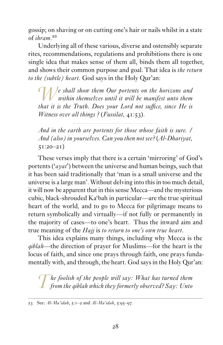gossip; on shaving or on cutting one's hair or nails whilst in a state of *ihram*.23

Underlying all of these various, diverse and ostensibly separate rites, recommendations, regulations and prohibitions there is one single idea that makes sense of them all, binds them all together, and shows their common purpose and goal. That idea is *the return to the (subtle) heart*. God says in the Holy Qur'an:

W*e shall show them Our portents on the horizons and within themselves until it will be manifest unto them that it is the Truth. Does your Lord not suffice, since He is Witness over all things ?* (*Fussilat,* 41:53).

*And in the earth are portents for those whose faith is sure. / And (also) in yourselves. Can you then not see?*(*Al-Dhariyat,*  51:20–21)

These verses imply that there is a certain 'mirroring' of God's portents ('*ayat*') between the universe and human beings, such that it has been said traditionally that 'man is a small universe and the universe is a large man'. Without delving into this in too much detail, it will now be apparent that in this sense Mecca—and the mysterious cubic, black-shrouded Ka'bah in particular—are the true spiritual heart of the world*,* and to go to Mecca for pilgrimage means to return symbolically and virtually—if not fully or permanently in the majority of cases—to one's heart. Thus the inward aim and true meaning of the *Hajj* is *to return to one's own true heart*.

This idea explains many things, including why Mecca is the *qiblah*—the direction of prayer for Muslims—for the heart is the locus of faith, and since one prays through faith, one prays fundamentally with, and through, the heart. God says in the Holy Qur'an:

T*he foolish of the people will say: What has turned them from the qiblah which they formerly observed? Say: Unto* 

<sup>23</sup> See: *Al-Ma'idah*, 5:1–2 and *Al-Ma'idah*, 5:95–97.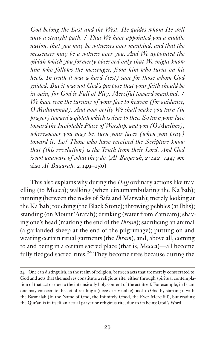*God belong the East and the West. He guides whom He will unto a straight path. / Thus We have appointed you a middle nation, that you may be witnesses over mankind, and that the messenger may be a witness over you. And We appointed the qiblah which you formerly observed only that We might know him who follows the messenger, from him who turns on his heels. In truth it was a hard (test) save for those whom God guided. But it was not God's purpose that your faith should be in vain, for God is Full of Pity, Merciful toward mankind. / We have seen the turning of your face to heaven (for guidance, O Muhammad). And now verily We shall make you turn (in prayer) toward a qiblah which is dear to thee. So turn your face toward the Inviolable Place of Worship, and you (O Muslims), wheresoever you may be, turn your faces (when you pray) toward it. Lo! Those who have received the Scripture know that (this revelation) is the Truth from their Lord. And God is not unaware of what they do.* (*Al-Baqarah, 2:142–144;* see also *Al-Baqarah,* 2:149–150)

This also explains why during the *Hajj* ordinary actions like travelling (to Mecca); walking (when circumambulating the Ka*'*bah); running (between the rocks of Safa and Marwah); merely looking at the Ka*'*bah; touching (the Black Stone); throwing pebbles (at Iblis); standing (on Mount 'Arafah); drinking (water from Zamzam); shaving one's head (marking the end of the *Ihram*); sacrificing an animal (a garlanded sheep at the end of the pilgrimage); putting on and wearing certain ritual garments (the *Ihram*), and, above all, coming to and being in a certain sacred place (that is, Mecca)—all become fully fledged sacred rites.<sup>24</sup> They become rites because during the

<sup>24</sup> One can distinguish, in the realm of religion, between acts that are merely consecrated to God and acts that themselves constitute a religious rite, either through spiritual contemplation of that act or due to the intrinsically holy content of the act itself. For example, in Islam one may consecrate the act of reading a (necessarily noble) book to God by starting it with the Basmalah (In the Name of God, the Infinitely Good, the Ever-Merciful), but reading the Qur'an is in itself an actual prayer or religious rite, due to its being God's Word.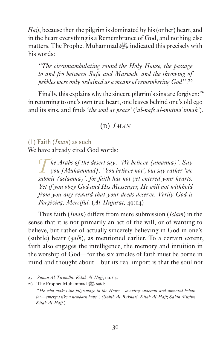*Hajj*, because then the pilgrim is dominated by his (or her) heart, and in the heart everything is a Remembrance of God, and nothing else matters. The Prophet Muhammad ! indicated this precisely with his words:

*"The circumambulating round the Holy House, the passage to and fro between Safa and Marwah, and the throwing of pebbles were only ordained as a means of remembering God"* .25

Finally, this explains why the sincere pilgrim's sins are forgiven:<sup>26</sup> in returning to one's own true heart, one leaves behind one's old ego and its sins, and finds '*the soul at peace'* ('*al-nafs al-mutma'innah'*).

(b) *IMAN*

(1) Faith (*Iman*) as such We have already cited God words:

> T*he Arabs of the desert say: 'We believe (amanna)'. Say you [Muhammad]: 'You believe not', but say rather 'we submit (aslamna)', for faith has not yet entered your hearts. Yet if you obey God and His Messenger, He will not withhold from you any reward that your deeds deserve. Verily God is Forgiving, Merciful.* (*Al-Hujurat,* 49:14)

Thus faith (*Iman*) differs from mere submission (*Islam*) in the sense that it is not primarily an act of the will, or of wanting to believe, but rather of actually sincerely believing in God in one's (subtle) heart (*qalb*), as mentioned earlier. To a certain extent, faith also engages the intelligence, the memory and intuition in the worship of God—for the six articles of faith must be borne in mind and thought about—but its real import is that the soul not

<sup>25</sup> *Sunan Al-Tirmidhi*, *Kitab Al-Hajj*, no. 64.

<sup>26</sup> The Prophet Muhammad يَرْبَعُ said:

 <sup>&</sup>quot;*He who makes the pilgrimage to the House*—*avoiding indecent and immoral behavior*—*emerges like a newborn babe". (Sahih Al-Bukhari, Kitab Al-Hajj*; *Sahih Muslim, Kitab Al-Hajj*.)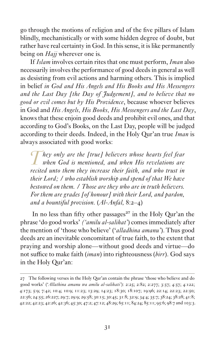go through the motions of religion and of the five pillars of Islam blindly, mechanistically or with some hidden degree of doubt, but rather have real certainty in God. In this sense, it is like permanently being on *Hajj* wherever one is.

If *Islam* involves certain rites that one must perform, *Iman* also necessarily involves the performance of good deeds in general as well as desisting from evil actions and harming others. This is implied in belief *in God and His Angels and His Books and His Messengers and the Last Day [the Day of Judgement], and to believe that no good or evil comes but by His Providence*, because whoever believes in God and *His Angels, His Books, His Messengers and the Last Day*, knows that these enjoin good deeds and prohibit evil ones, and that according to God's Books, on the Last Day, people will be judged according to their deeds. Indeed, in the Holy Qur'an true *Iman* is always associated with good works:

T*hey only are the [true] believers whose hearts feel fear when God is mentioned, and when His revelations are recited unto them they increase their faith, and who trust in their Lord; / who establish worship and spend of that We have bestowed on them. / Those are they who are in truth believers. For them are grades [of honour] with their Lord, and pardon, and a bountiful provision.* (*Al-Anfal,* 8:2–4)

In no less than fifty other passages $^{27}$  in the Holy Qur'an the phrase 'do good works' *('amilu al-salihat'*) comes immediately after the mention of 'those who believe' ('*alladhina amanu'*). Thus good deeds are an inevitable concomitant of true faith, to the extent that praying and worship alone—without good deeds and virtue—do not suffice to make faith (*iman*) into righteousness (*birr*). God says in the Holy Qur'an:

<sup>27</sup> The following verses in the Holy Qur'an contain the phrase 'those who believe and do good works' ('*Allathina amanu wa amilu al-salihati'*): 2:25; 2:82; 2:277; 3:57; 4:57; 4:122; 4:173; 5:9; 7:42; 10:4; 10:9; 11:23; 13:29; 14:23; 18:30; 18:107; 19:96; 22:14; 22:23; 22:50; 22:56; 24:55; 26:227; 29:7; 29:9; 29:58; 30:15; 30:45; 31:8; 32:9; 34:4; 35:7; 38:24; 38:28; 41:8; 42:22; 42:23; 42:26; 42:36; 45:30; 47:2; 47:12; 48:29; 65:11; 84:24; 85:11; 95:6; 98:7 and 103:3.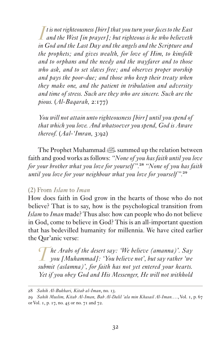It is not righteousness [birr] that you turn your faces to the East<br>and the West [in prayer]; but righteous is he who believeth<br>is God and the Last Day and the word and the Switter and *t is not righteousness [birr] that you turn your faces to the East in God and the Last Day and the angels and the Scripture and the prophets; and gives wealth, for love of Him, to kinsfolk and to orphans and the needy and the wayfarer and to those who ask, and to set slaves free; and observes proper worship and pays the poor-due; and those who keep their treaty when they make one, and the patient in tribulation and adversity and time of stress. Such are they who are sincere. Such are the pious.* (*Al-Baqarah,* 2:177)

*You will not attain unto righteousness [birr] until you spend of that which you love. And whatsoever you spend, God is Aware thereof.* (*Aal-'Imran,* 3:92)

The Prophet Muhammad ! summed up the relation between faith and good works as follows: *"None of you has faith until you love for your brother what you love for yourself"*.28 *"None of you has faith until you love for your neighbour what you love for yourself"*.29

#### (2) From *Islam* to *Iman*

How does faith in God grow in the hearts of those who do not believe? That is to say, how is the psychological transition from *Islam* to *Iman* made? Thus also: how can people who do not believe in God, come to believe in God? This is an all-important question that has bedevilled humanity for millennia. We have cited earlier the Qur'anic verse:

T*he Arabs of the desert say: 'We believe (amanna)'. Say you [Muhammad]: 'You believe not', but say rather 'we submit (aslamna)', for faith has not yet entered your hearts. Yet if you obey God and His Messenger, He will not withhold* 

<sup>28</sup> *Sahih Al-Bukhari, Kitab al-Iman*, no. 13.

<sup>29</sup> *Sahih Muslim, Kitab Al-Iman, Bab Al-Dalil 'ala min Khasail Al-Iman.…*, Vol. 1, p. 67 or Vol. 1, p. 17, no. 45 or no. 71 and 72.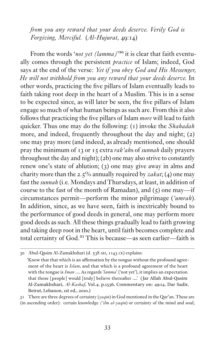*from you any reward that your deeds deserve. Verily God is Forgiving, Merciful.* (*Al-Hujurat,* 49:14)

From the words 'not yet (lamma)<sup>'30</sup> it is clear that faith eventually comes through the persistent *practice* of Islam; indeed, God says at the end of the verse: *Yet if you obey God and His Messenger, He will not withhold from you any reward that your deeds deserve.* In other words, practicing the five pillars of Islam eventually leads to faith taking root deep in the heart of a Muslim. This is in a sense to be expected since, as will later be seen, the five pillars of Islam engage so much of what human beings as such are. From this it also follows that practicing the five pillars of Islam *more* will lead to faith quicker. Thus one may do the following: (1) invoke the *Shahadah* more, and indeed, frequently throughout the day and night; (2) one may pray more (and indeed, as already mentioned, one should pray the minimum of 13 or 15 extra *rak'ah*s of *sunnah* daily prayers throughout the day and night); (2b) one may also strive to constantly renew one's state of ablution; (3) one may give away in alms and charity more than the 2.5% annually required by *zakat*; (4) one may fast the *sunnah* (i.e. Mondays and Thursdays, at least, in addition of course to the fast of the month of Ramadan), and (5) one may—if circumstances permit—perform the minor pilgrimage (*'umrah*). In addition, since, as we have seen, faith is inextricably bound to the performance of good deeds in general, one may perform more good deeds as such. All these things gradually lead to faith growing and taking deep root in the heart, until faith becomes complete and total certainty of God.<sup>31</sup> This is because—as seen earlier—faith is

31 There are three degrees of certainty (*yaqin*) in God mentioned in the Qur'an. These are (in ascending order): certain knowledge *('ilm al-yaqin*) or certainty of the mind and soul;

<sup>30</sup> Abul-Qasim Al-Zamakhshari (d. 538 ah, 1143 ce) explains:

<sup>&#</sup>x27;Know that that which is an affirmation by the tongue without the profound agreement of the heart is *Islam*, and that which is a profound agreement of the heart with the tongue is *Iman* …. As regards '*lamma*' ('not yet'), it implies an expectation that those [people] would [truly] believe thereafter ....' (Jar Allah Abul-Qasim Al-Zamakhshari, *Al-Kashaf*, Vol.4, p.1536, Commentary on: 49:14, Dar Sadir, Beirut, Lebanon, 1st ed., 2010.)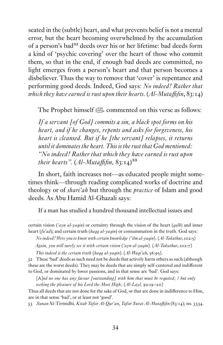seated in the (subtle) heart, and what prevents belief is not a mental error, but the heart becoming overwhelmed by the accumulation of a person's bad32 deeds over his or her lifetime: bad deeds form a kind of 'psychic covering' over the heart of those who commit them, so that in the end, if enough bad deeds are committed, no light emerges from a person's heart and that person becomes a disbeliever. Thus the way to remove that 'cover' is repentance and performing good deeds. Indeed, God says: *No indeed! Rather that which they have earned is rust upon their hearts.* (Al-Mutaffifin, 83:14)

The Prophet himself  $\mathbb{R}^n$  commented on this verse as follows:

*If a servant [of God] commits a sin, a black spot forms on his heart, and if he changes, repents and asks for forgiveness, his heart is cleansed. But if he [the servant] relapses, it returns until it dominates the heart. This is the rust that God mentioned: "No indeed! Rather that which they have earned is rust upon their hearts".*  $(Al$ - $Mutaffifin$ ,  $83:14$ <sup>33</sup>

In short, faith increases not—as educated people might sometimes think—through reading complicated works of doctrine and theology or of *shari'ah* but through the *practice* of Islam and good deeds. As Abu Hamid Al-Ghazali says:

If a man has studied a hundred thousand intellectual issues and

*Again, you will surely see it with certain vision* (*'ayn al-yaqin*)*.* (*Al-Takathur*, 102:7)

*This indeed is the certain truth* (*haqq al-yaqin*). (*Al-Waqi'ah*, 56:95).

32 These 'bad' deeds as such need not be deeds that actively harm others as such (although these are the worst deeds). They may be deeds that are simply self-centered and indifferent to God, or dominated by lower passions, and in that sense are 'bad'. God says:

[A]*nd no one has any favour [outstanding] with him that must be requited;* / *but only seeking the pleasure of his Lord the Most High;* (*Al-Layl,* 92:19–20)

Thus all deeds that are not done for the sake of God, or that are done in indifference to Him, are in that sense 'bad', or at least not 'good'.

33 *Sunan* Al-Tirmidhi, *Kitab Tafsir Al-Qur'an, Tafsir Surat Al-Mutaffifin* (83:14); no. 3334.

certain vision (*'ayn al-yaqin*) or certainty through the vision of the heart (*qalb*) and inner heart (*fu'ad*); and certain truth (*haqq al-yaqin*) or consummation in the truth. God says:

*No indeed! Were you to know with certain knowledge ('ilm al-yaqin*)*.* (*Al-Takathur*, 102:5)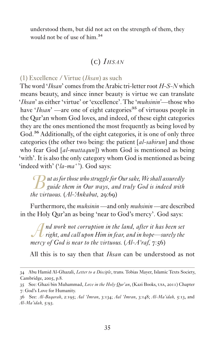understood them, but did not act on the strength of them, they would not be of use of him.<sup>34</sup>

#### (c) *IHSAN*

#### (1) Excellence / Virtue (*Ihsan*) as such

The word '*Ihsan*' comes from the Arabic tri-letter root *H-S-N* which means beauty, and since inner beauty is virtue we can translate '*Ihsan*' as either 'virtue' or 'excellence'. The '*muhsinin'*—those who have '*Ihsan*' —are one of eight categories<sup>35</sup> of virtuous people in the Qur'an whom God loves, and indeed, of these eight categories they are the ones mentioned the most frequently as being loved by God.<sup>36</sup> Additionally, of the eight categories, it is one of only three categories (the other two being: the patient [*al-sabirun*] and those who fear God [*al-muttaqun*]) whom God is mentioned as being 'with'. It is also the only category whom God is mentioned as being 'indeed with' ('*la-ma'* '). God says:

B*ut as for those who struggle for Our sake, We shall assuredly guide them in Our ways, and truly God is indeed with the virtuous.* (*Al-'Ankabut,* 29:69)

Furthermore, the *muhsinin* —and only *muhsinin* —are described in the Holy Qur'an as being 'near to God's mercy'. God says:

A*nd work not corruption in the land, after it has been set right, and call upon Him in fear, and in hope—surely the mercy of God is near to the virtuous.* (*Al-A'raf,* 7:56)

All this is to say then that *Ihsan* can be understood as not

<sup>34</sup> Abu Hamid Al-Ghazali, *Letter to a Disciple*, trans. Tobias Mayer, Islamic Texts Society, Cambridge, 2005, p.8.

<sup>35</sup> See: Ghazi bin Muhammad, *Love in the Holy Qur'an*, (Kazi Books, usa, 2011) Chapter 7: God's Love for Humanity.

<sup>36</sup> See: *Al-Baqarah*, 2:195; *Aal 'Imran*, 3:134; *Aal 'Imran*, 3:148; *Al-Ma'idah,* 5:13, and *Al-Ma'idah,* 5:93.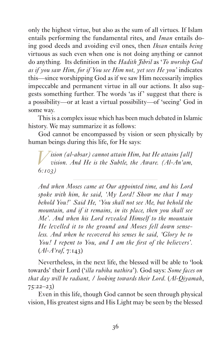only the highest virtue, but also as the sum of all virtues. If Islam entails performing the fundamental rites, and *Iman* entails doing good deeds and avoiding evil ones, then *Ihsan* entails *being* virtuous as such even when one is not doing anything or cannot do anything. Its definition in the *Hadith Iibril* as '*To worship God as if you saw Him, for if You see Him not, yet sees He you'* indicates this—since worshipping God as if we saw Him necessarily implies impeccable and permanent virtue in all our actions. It also suggests something further. The words 'as if ' suggest that there is a possibility—or at least a virtual possibility—of 'seeing' God in some way.

This is a complex issue which has been much debated in Islamic history. We may summarize it as follows:

God cannot be encompassed by vision or seen physically by human beings during this life, for He says:

*Vision (al-absar) cannot attain Him, but He attains [all] vision. And He is the Subtle, the Aware. (Al-An'am, 6:103)*

*And when Moses came at Our appointed time, and his Lord spoke with him, he said, 'My Lord! Show me that I may behold You!' Said He, 'You shall not see Me, but behold the mountain, and if it remains, in its place, then you shall see Me'. And when his Lord revealed Himself to the mountain He levelled it to the ground and Moses fell down senseless. And when he recovered his senses he said, 'Glory be to You! I repent to You, and I am the first of the believers'.* (*Al-A'raf,* 7:143)

Nevertheless, in the next life, the blessed will be able to 'look towards' their Lord ('*illa rubiha nathira*'). God says: *Some faces on that day will be radiant,* / *looking towards their Lord.* (*Al-Qiyamah*, 75:22–23)

Even in this life, though God cannot be seen through physical vision, His greatest signs and His Light may be seen by the blessed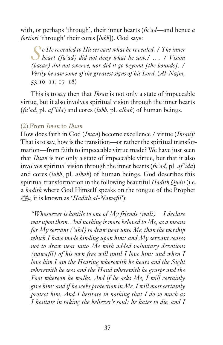with, or perhaps 'through', their inner hearts (*fu'ad*—and hence *a fortiori* 'through' their cores [*lubb*]). God says:

S*o He revealed to His servant what he revealed. / The inner heart (fu'ad) did not deny what he saw./ …. / Vision (basar) did not swerve, nor did it go beyond [the bounds]. / Verily he saw some of the greatest signs of his Lord.* (*Al-Najm,*  53:10–11; 17–18)

This is to say then that *Ihsan* is not only a state of impeccable virtue, but it also involves spiritual vision through the inner hearts (*fu'ad*, pl. *af 'ida*) and cores (*lubb*, pl. *albab*) of human beings.

#### (2) From *Iman* to *Ihsan*

How does faith in God (*Iman*) become excellence / virtue (*Ihsan*)? That is to say, how is the transition—or rather the spiritual transformation—from faith to impeccable virtue made? We have just seen that *Ihsan* is not only a state of impeccable virtue, but that it also involves spiritual vision through the inner hearts (*fu'ad*, pl. *af 'ida*) and cores (*lubb*, pl. *albab*) of human beings. God describes this spiritual transformation in the following beautiful *Hadith Qudsi* (i.e. a *hadith* where God Himself speaks on the tongue of the Prophet !; it is known as '*Hadith al-Nawa+l'*):

*"Whosoever is hostile to one of My friends (wali)—I declare war upon them. And nothing is more beloved to Me, as a means for My servant ('abd) to draw near unto Me, than the worship which I have made binding upon him; and My servant ceases not to draw near unto Me with added voluntary devotions (nawa+l) of his own free will until I love him; and when I love him I am the Hearing wherewith he hears and the Sight wherewith he sees and the Hand wherewith he grasps and the Foot whereon he walks. And if he asks Me, I will certainly give him; and if he seeks protection in Me, I will most certainly protect him. And I hesitate in nothing that I do so much as I hesitate in taking the believer's soul: he hates to die, and I*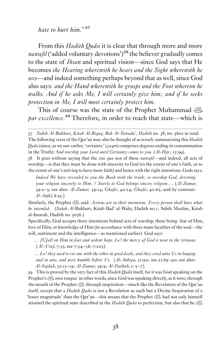#### *hate to hurt him.*"<sup>37</sup>

From this *Hadith Qudsi* it is clear that through more and more *nawafil* ('added voluntary devotions')<sup>38</sup> the believer gradually comes to the state of *Ihsan* and spiritual vision—since God says that He becomes *the Hearing wherewith he hears and the Sight wherewith he sees*—and indeed something perhaps beyond that as well, since God also says: *and the Hand wherewith he grasps and the Foot whereon he walks. And if he asks Me, I will certainly give him; and if he seeks protection in Me, I will most certainly protect him*.

This of course was the state of the Prophet Muhammad ! *par excellence*.<sup>39</sup> Therefore, in order to reach that state—which is

*Indeed We have revealed to you the Book with the truth; so worship God, devoting your religion sincerely to Him. / Surely to God belongs sincere religion….* (*Al-Zumar,*  39:2-3; see also: *Al-Zumar*, 39:14; *Ghafir*, 40:14; *Ghafir*, 40:65, and by contrast: *Al-Anfal*, 8:35.)

Similarly, the Prophet ! said: *Actions are in their intentions. Every person shall have what he intended.* (*Sahih Al-*Bukhari, Kitab Bad' al-Wahy, Hadith no.1; Sahih Muslim, Kitab al-Imarah, Hadith no. 5036.)

Specifically, God accepts three intentions behind acts of worship, these being: fear of Him, love of Him, or knowledge of Him (in accordance with three main faculties of the soul—the will, sentiment and the intelligence—as mentioned earlier). God says:

*… [C]all on Him in fear and ardent hope. Lo! the mercy of God is near to the virtuous.* (*Al-A'raf*, 7:55; see 7:54–58; 7:205).

*… Lo! they used to vie one with the other in good deeds, and they cried unto Us in longing and in awe, and were humble before Us.* (*Al-Anbiya*, 21:90; see 21:89–90; see also: *Al-Sajdah*, 32:15–19; *Al-Zumar*, 39:9; *Al-Fatihah*, 1: 5–7).

39 This is proved by the very fact of this *Hadith Qudsi* itself, for it was God speaking on the Prophet's ! own tongue: in other words, since God was speaking directly, as it were, through the mouth of the Prophet like inspiration—much like the Revelation of the Qur'an itself, except that a *Hadith Qudsi* is not a Revelation as such but a Divine Inspiration of a 'lesser magnitude' than the Qur'an—this means that the Prophet ! had not only himself attained the spiritual state described in the *Hadith Qudsi* to perfection, but also that he !

<sup>37</sup> *Sahih Al-Bukhari, Kitab Al-Riqaq, Bab Al-Tawadu', Hadith* no. 38; no. 5602 in total. The following verse of the Qur'an may also be thought of as tersely summarizing this *Hadith Qudsi* (since, as we saw earlier, 'certainty' (*yaqin*) comprises degrees ending in consummation in the Truth): A*nd worship your Lord until Certainty comes to you.* (*Al-Hijr*, 15:99).

<sup>38</sup> It goes without saying that the *sine qua non* of these *nawafil*—and indeed, all acts of worship—is that they must be done with sincerity to God (to the extent of one's faith, or to the extent of one's striving to have more faith) and hence with the right intentions. Gods says: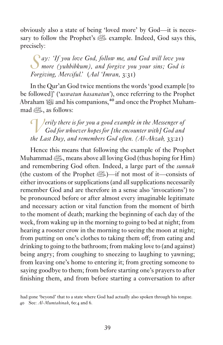obviously also a state of being 'loved more' by God—it is necessary to follow the Prophet's ! example. Indeed, God says this, precisely:

Say: 'If you love God, follow me, and God will love you <br> *more (yuhbibkum), and forgive you your sins; God is Forgiving, Merciful.'* (*Aal 'Imran,* 3:31)

In the Qur'an God twice mentions the words 'good example [to be followed]' ('*uswatun hasanatun'*), once referring to the Prophet Abraham  $\mathbb{R}$  and his companions,<sup>40</sup> and once the Prophet Muhammad , مَاتِيَّةِ , as follows:

V*erily there is for you a good example in the Messenger of God for whoever hopes for [the encounter with] God and the Last Day, and remembers God often. (Al-Ahzab,* 33:21)

Hence this means that following the example of the Prophet Muhammad  $\mathbb{R}$ , means above all loving God (thus hoping for Him) and remembering God often. Indeed, a large part of the *sunnah* (the custom of the Prophet !)—if not most of it—consists of either invocations or supplications (and all supplications necessarily remember God and are therefore in a sense also 'invocations') to be pronounced before or after almost every imaginable legitimate and necessary action or vital function from the moment of birth to the moment of death; marking the beginning of each day of the week, from waking up in the morning to going to bed at night; from hearing a rooster crow in the morning to seeing the moon at night; from putting on one's clothes to taking them off; from eating and drinking to going to the bathroom; from making love to (and against) being angry; from coughing to sneezing to laughing to yawning; from leaving one's home to entering it; from greeting someone to saying goodbye to them; from before starting one's prayers to after finishing them, and from before starting a conversation to after

had gone 'beyond' that to a state where God had actually also spoken through his tongue. 40 See: *Al-Mumtahinah*, 60:4 and 6.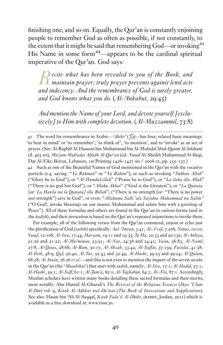finishing one, and so on. Equally, the Our'an is constantly enjoining people to remember God as often as possible, if not constantly, to the extent that it might be said that remembering  $God—or$  invoking<sup>41</sup> His Name in some form<sup>42</sup>—appears to be the cardinal spiritual imperative of the Qur'an. God says:

R*ecite what has been revealed to you of the Book, and maintain prayer; truly prayer prevents against lewd acts and indecency. And the remembrance of God is surely greater, and God knows what you do.* (*Al-'Ankabut,* 29:45)

*And mention the Name of your Lord, and devote yourself [exclusively] to Him with complete devotion.* (*Al-Muzzammil,* 73:8)

42 Such as one of the Beautiful Names of God mentioned in the Qur'an with the vocative particle (e.g. saying: "*Ya Rahman*" or "*Ya Rahim*"); or such as invoking "*Subhan Allah*" ("Glory be to God"); or "*Al-HamduLillah*" ("Praise be to God"); or "*La ilaha illa Allah*" ("There is no god but God"); or "*Allahu Akbar*" ("God is the Greatest"); or "*La Quwata*  [or: *La Hawla wa la Quwata] illa Billah*"; ("There is no strength [or: "There is no power nor strength"] save in God"; or even: "*Allahuma Salli 'ala Sayidna Muhammad wa Salim"*  ("O God!, invoke blessings on our master Muhammad and salute him with a greeting of Peace"). All of these formulas and others are found in the Qur'an in various forms (and in the *hadith*), and their invocation is based on the Qur'an's repeated injunctions to invoke them.

For example, all of the following verses from the Qur'an commend, enjoin or echo just the glorification of God (*tasbih*) specifically: *Aal-'Imran*, 3:41; *Al-A'raf*, 7:206; *Yunus*, 10:10; *Yusuf*, 12:108; *Al-Isra*, 17:44; *Maryam*, 19:11 and 19:35; *Ta Ha*, 20:33 and 20:130; *Al-Anbiya*, 21:20 and 21:22; *Al-Mu'minun*, 23:91; *Al-Nur*, 24:36 and 24:41; *Yasin*, 36:83; *Al-Naml*, 27:8; *Al-Qasas*, 28:68; *Al-Rum*, 30:17; *Al-Ahzab*, 33:42; *Al-Sa.at*, 37:159; *Fussilat*, 41:38; *Al-Fath*, 48:9; *Qaf*, 50:40; *Al-Tur*, 52:43 and 52:49; *Al-Hashr*, 59:23 and 59:24; *Al-Qalam*, 68:28; *Al-Insan*, 76:26 *et al*.—and this is not even to mention the import of the seven *surah*s in the Qur'an (the '*Musabihat*') that start with *tasbih*, namely: *Al-Isra*, 17:1; *Al-Hadid*, 57:1; *Al-Hashr*, 59:1; *Al-Sa.*, 61:1; *Al-Jum'a*, 62:1; *Al-Taghabun*, 64:1; *Al-A'la*, 87:1. Accordingly, Muslim scholars have written many books detailing these sacred formulas and their merits, most notably: Abu Hamid Al-Ghazali's *The Revival of the Religious Sciences* (*Ihya 'Ulum Al-Din*) vol. 9, *Kitab Al-Adhkar wal-Da'wat* (*The Book of Invocations and Supplications*). See also: Hasan bin 'Ali Al-Saqqaf, *Kitab Fada'il Al-Dhikr*, (RABIIT, Jordan, 2011) which is available as a free download at: www.rissc.jo.

<sup>41</sup> The word for remembrance in Arabic—'*dhikr*' ( )—has four, related basic meanings: ׇ֦֚ 'to bear in mind' or 'to remember'; 'to think of'; 'to mention', and to 'invoke' as an act of prayer. (See: Al-Raghib Al-Hussein bin Muhammad bin Al-Mufadal Abul-Qasim Al-Isfahani (d. 403 ah), *Mu'jam Mufradat Alfadh Al-Qur'an* (ed.: Yusuf Al-Sheikh Muhammad Al-Baqi; Dar Al-Fikr, Beirut, Lebanon, 1st Printing 1426–1427 ah / 2006 ce, pp. 135–137.)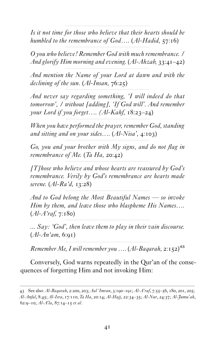*Is it not time for those who believe that their hearts should be humbled to the remembrance of God….* (*Al-Hadid,* 57:16)

*O you who believe! Remember God with much remembrance. / And glorify Him morning and evening.* (*Al-Ahzab,* 33:41–42)

*And mention the Name of your Lord at dawn and with the declining of the sun.* (*Al-Insan,* 76:25)

*And never say regarding something, 'I will indeed do that tomorrow', / without [adding], 'If God will'. And remember your Lord if you forget…. (Al-Kahf,* 18:23–24)

*When you have performed the prayer, remember God, standing and sitting and on your sides….* (*Al-Nisa',* 4:103)

*Go, you and your brother with My signs, and do not flag in remembrance of Me.* (*Ta Ha,* 20:42)

*[T]hose who believe and whose hearts are reassured by God's remembrance. Verily by God's remembrance are hearts made serene.* (*Al-Ra'd,* 13:28)

*And to God belong the Most Beautiful Names — so invoke Him by them, and leave those who blaspheme His Names….*  (*Al-A'raf,* 7:180)

*... Say: 'God', then leave them to play in their vain discourse.*   $(Al-An'am, 6:91)$ 

*Remember Me, I will remember you ….* (*Al-Baqarah,* 2:152)43

Conversely, God warns repeatedly in the Qur'an of the consequences of forgetting Him and not invoking Him:

<sup>43</sup> See also: *Al-Baqarah*, 2:200, 203; *Aal 'Imran*, 3:190–191; *Al-A'raf*, 7:55–56, 180, 201, 205; *Al-Anfal*, 8:45; *Al-Isra*, 17:110; *Ta Ha*, 20:14; *Al-Hajj*, 22:34–35; *Al-Nur*, 24:37; *Al-Jumu'ah*, 62:9–10; *Al-A'la*, 87:14–15 *et al*.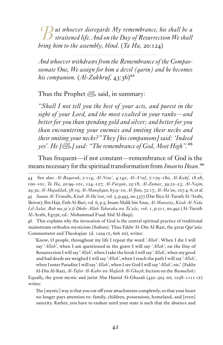*But whoever disregards My remembrance, his shall be a straitened life. And on the Day of Resurrection We shall bring him to the assembly, blind.* (*Ta Ha,* 20:124)

*And whoever withdraws from the Remembrance of the Compassionate One, We assign for him a devil (qarin) and he becomes his companion.*  $(AI-Zukhruf, 43:36)^{44}$ 

Thus the Prophet  $\mathbb{R}$  said, in summary:

*"Shall I not tell you the best of your acts, and purest in the sight of your Lord, and the most exalted in your ranks—and better for you than spending gold and silver; and better for you than encountering your enemies and smiting their necks and their smiting your necks?" They [his companions] said: 'Indeed yes'. He [*!*] said: "The remembrance of God, Most High".*45

Thus frequent—if not constant—remembrance of God is the means necessary for the spiritual transformation from *Iman* to *Ihsan*.46

46 This explains why the invocation of God is the central spiritual practice of traditional mainstream orthodox mysticism (Sufism). Thus Fakhr Al-Din Al-Razi, the great Qur'anic Commentator and Theologian (d. 1209 ce, 606 ah), writes:

'Know, O people, throughout my life I repeat the word '*Allah'*. When I die I will say '*Allah'*, when I am questioned in the grave I will say '*Allah'*, on the Day of Resurrection I will say '*Allah'*, when I take the book I will say '*Allah'*, when my good and bad deeds are weighed I will say '*Allah'*, when I reach the path I will say '*Allah'*, when I enter Paradise I will say '*Allah'*, when I see God I will say '*Allah'*, etc.' (Fakhr Al-Din Al-Razi, *Al-Tafsir Al-Kabir wa Mafatih Al-Ghayb*, Section on the *Basmallah*).

Equally, the great mystic and jurist Abu Hamid Al-Ghazali (450–505 ah; 1058–1111 ce) writes:

The [mystic] way is that you cut off your attachments completely, so that your heart no longer pays attention to: family, children, possessions, homeland, and [even] sanctity. Rather, you have to endure until your state is such that the absence and

<sup>44</sup> See also: *Al-Baqarah*, 2:114; *Al-Nisa'*, 4:142; *Al-A'raf*, 7:179–180; *Al-Kahf*, 18:28, 100–101; *Ta Ha*, 20:99–101, 124–127; *Al-Furqan*, 25:18; *Al-Zumar*, 39:22–23; *Al-Najm*, 29:30; *Al-Mujadilah*, 58:19; *Al-Munafiqun*, 63:9-10; *Al-Jinn*, 72:17; *Al-Ma'un*, 107:4-6, et al. 45 *Sunan Al-Tirmidhi*, *Kitab Al-Da'wat*, vol. 5, p.495, no.3377 (Dar Ihya Al-Turath Al-'Arabi, Beirut); Ibn Hajr, Fath Al-Bari, vol. 6, p.5; Imam Malik bin Anas; *Al-Muwatta*, *Kitab Al-Nida Lil-Salat, Bab ma ja'a + Dhikr Allah Tabaraka wa Ta'ala*; vol. 1, p.211, no.492 (Al-Turath Al-Arabi, Egypt; ed.: Mohammad Fuad Abd Al-Baqi).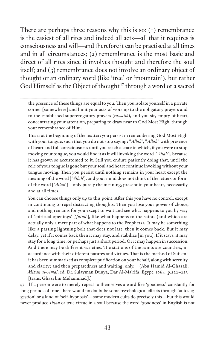There are perhaps three reasons why this is so: (1) remembrance is the easiest of all rites and indeed all acts—all that it requires is consciousness and will—and therefore it can be practised at all times and in all circumstances; (2) remembrance is the most basic and direct of all rites since it involves thought and therefore the soul itself; and (3) remembrance does not involve an ordinary object of thought or an ordinary word (like 'tree' or 'mountain'), but rather God Himself as the Object of thought<sup>47</sup> through a word or a sacred

This is at the beginning of the matter: you persist in remembering God Most High with your tongue, such that you do not stop saying: "*Allah*", "*Allah*" with presence of heart and full consciousness until you reach a state in which, if you were to stop moving your tongue, you would find it as if still invoking the word ['*Allah*'], because it has grown so accustomed to it. Still you endure patiently doing that, until the role of your tongue is gone but your soul and heart continue invoking without your tongue moving. Then you persist until nothing remains in your heart except the meaning of the word ['*Allah*'], and your mind does not think of the letters or form of the word ['*Allah*']—only purely the meaning, present in your heart, necessarily and at all times.

You can choose things only up to this point. After this you have no control, except in continuing to repel distracting thoughts. Then you lose your power of choice, and nothing remains for you except to wait and see what happens to you by way of 'spiritual openings' ['*futuh*'], like what happens to the saints (and which are actually only a mere part of what happens to the Prophets). It may be something like a passing lightning bolt that does not last; then it comes back. But it may delay, yet if it comes back then it may stay, and stabilize [in you]. If it stays, it may stay for a long time, or perhaps just a short period. Or it may happen in succession. And there may be different varieties. The stations of the saints are countless, in accordance with their different natures and virtues. That is the method of Sufism; it has been summarized as complete purification on your behalf, along with serenity and clarity; and then preparedness and waiting, only. (Abu Hamid Al-Ghazali, *Mizan al-'Amal*, ed. Dr. Sulayman Dunya, Dar Al-Ma'rifa, Egypt, 1964, p.222–223 [trans. Ghazi bin Muhammad].)

47 If a person were to merely repeat to themselves a word like 'goodness' constantly for long periods of time, there would no doubt be some psychological effects through 'autosuggestion' or a kind of 'self-hypnosis'—some modern cults do precisely this—but this would never produce *Ihsan* or true virtue in a soul because the word 'goodness' in English is not

the presence of these things are equal to you. Then you isolate yourself in a private corner [somewhere] and limit your acts of worship to the obligatory prayers and to the established supererogatory prayers (*rawatib*), and you sit, empty of heart, concentrating your attention, preparing to draw near to God Most High, through your remembrance of Him.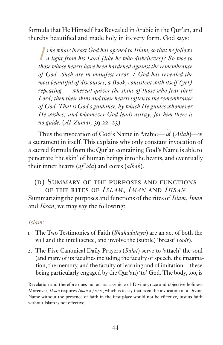formula that He Himself has Revealed in Arabic in the Qur'an, and thereby beautified and made holy in its very form. God says:

*s* he whose breast God has opened to Islam, so that he follows<br>a light from his Lord [like he who disbelieves]? So woe to *s he whose breast God has opened to Islam, so that he follows those whose hearts have been hardened against the remembrance of God. Such are in manifest error. / God has revealed the most beautiful of discourses, a Book, consistent with itself (yet) repeating — whereat quiver the skins of those who fear their Lord; then their skins and their hearts soften to the remembrance of God. That is God's guidance, by which He guides whomever He wishes; and whomever God leads astray, for him there is no guide.* (*Al-Zumar,* 39:22–23)

Thus the invocation of God's Name in Arabic— ! \$% & (*Allah*)—is " # a sacrament in itself. This explains why only constant invocation of a sacred formula from the Qur'an containing God's Name is able to penetrate 'the skin' of human beings into the hearts, and eventually their inner hearts (*af 'ida*) and cores (*albab*).

(d) Summary of the purposes and functions of the rites of *ISLAM*, *IMAN* and *IHSAN* Summarizing the purposes and functions of the rites of *Islam*, *Iman* and *Ihsan*, we may say the following:

#### *Islam*:

- 1. The Two Testimonies of Faith (*Shahadatayn*) are an act of both the will and the intelligence, and involve the (subtle) 'breast' (*sadr*).
- 2. The Five Canonical Daily Prayers (*Salat*) serve to 'attach' the soul (and many of its faculties including the faculty of speech, the imagination, the memory, and the faculty of learning and of imitation—these being particularly engaged by the Qur'an) 'to' God. The body, too, is

Revelation and therefore does not act as a vehicle of Divine grace and objective holiness. Moreover, *Ihsan* requires *Iman a priori*, which is to say that even the invocation of a Divine Name without the presence of faith in the first place would not be effective, just as faith without Islam is not effective.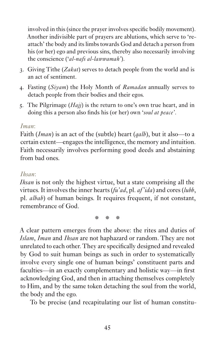involved in this (since the prayer involves specific bodily movement). Another indivisible part of prayers are ablutions, which serve to 'reattach' the body and its limbs towards God and detach a person from his (or her) ego and previous sins, thereby also necessarily involving the conscience ('*al-nafs al-lawwamah'*).

- 3. Giving Tithe (*Zakat*) serves to detach people from the world and is an act of sentiment.
- 4. Fasting (*Siyam*) the Holy Month of *Ramadan* annually serves to detach people from their bodies and their egos.
- 5. The Pilgrimage (*Hajj*) is the return to one's own true heart, and in doing this a person also finds his (or her) own 'soul at peace'.

#### *Iman*:

Faith (*Iman*) is an act of the (subtle) heart (*qalb*), but it also—to a certain extent—engages the intelligence, the memory and intuition. Faith necessarily involves performing good deeds and abstaining from bad ones.

#### *Ihsan*:

*Ihsan* is not only the highest virtue, but a state comprising all the virtues. It involves the inner hearts (*fu'ad*, pl. *af 'ida*) and cores (*lubb*, pl. *albab*) of human beings. It requires frequent, if not constant, remembrance of God.

※ ※ ※

A clear pattern emerges from the above: the rites and duties of *Islam*, *Iman* and *Ihsan* are not haphazard or random. They are not unrelated to each other. They are specifically designed and revealed by God to suit human beings as such in order to systematically involve every single one of human beings' constituent parts and faculties—in an exactly complementary and holistic way—in first acknowledging God, and then in attaching themselves completely to Him, and by the same token detaching the soul from the world, the body and the ego.

To be precise (and recapitulating our list of human constitu-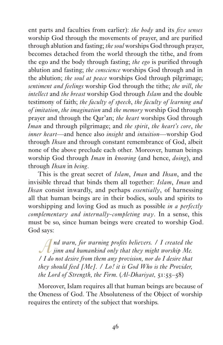ent parts and faculties from earlier): *the body* and its *five senses* worship God through the movements of prayer, and are purified through ablution and fasting; *the soul* worships God through prayer, becomes detached from the world through the tithe, and from the ego and the body through fasting; *the ego* is purified through ablution and fasting; *the conscience* worships God through and in the ablution; *the soul at peace* worships God through pilgrimage; *sentiment and feelings* worship God through the tithe; *the will*, *the intellect* and *the breast* worship God through *Islam* and the double testimony of faith; *the faculty of speech*, *the faculty of learning and of imitation*, *the imagination* and *the memory* worship God through prayer and through the Qur'an; *the heart* worships God through *Iman* and through pilgrimage; and *the spirit*, *the heart's core*, *the inner heart*—and hence also *insight* and *intuition*—worship God through *Ihsan* and through constant remembrance of God, albeit none of the above preclude each other. Moreover, human beings worship God through *Iman* in *knowing* (and hence, *doing*), and through *Ihsan* in *being*.

This is the great secret of *Islam*, *Iman* and *Ihsan*, and the invisible thread that binds them all together: *Islam*, *Iman* and *Ihsan* consist inwardly, and perhaps *essentially*, of harnessing all that human beings are in their bodies, souls and spirits to worshipping and loving God as much as possible *in a perfectly complementary and internally-completing way*. In a sense, this must be so, since human beings were created to worship God. God says:

A<sup>nd warn, for warning profits believers. / I created the *jinn and humankind only that they might worship Me.*</sup> */ I do not desire from them any provision, nor do I desire that they should feed [Me]. / Lo! it is God Who is the Provider, the Lord of Strength, the Firm.* (*Al-Dhariyat,* 51:55–58)

Moreover, Islam requires all that human beings are because of the Oneness of God. The Absoluteness of the Object of worship requires the entirety of the subject that worships.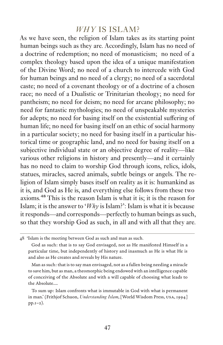#### *WHY* IS ISLAM?

As we have seen, the religion of Islam takes as its starting point human beings such as they are. Accordingly, Islam has no need of a doctrine of redemption; no need of monasticism; no need of a complex theology based upon the idea of a unique manifestation of the Divine Word; no need of a church to intercede with God for human beings and no need of a clergy; no need of a sacerdotal caste; no need of a covenant theology or of a doctrine of a chosen race; no need of a Dualistic or Trinitarian theology; no need for pantheism; no need for deism; no need for arcane philosophy; no need for fantastic mythologies; no need of unspeakable mysteries for adepts; no need for basing itself on the existential suffering of human life; no need for basing itself on an ethic of social harmony in a particular society; no need for basing itself in a particular historical time or geographic land, and no need for basing itself on a subjective individual state or an objective degree of reality—like various other religions in history and presently—and it certainly has no need to claim to worship God through icons, relics, idols, statues, miracles, sacred animals, subtle beings or angels. The religion of Islam simply bases itself on reality as it is: humankind as it is, and God as He is, and everything else follows from these two axioms.48 This is the reason Islam is what it is; it is the reason for Islam; it is the answer to '*Why* is Islam?': Islam is what it is because it responds—and corresponds—perfectly to human beings as such, so that they worship God as such, in all and with all that they are.

<sup>48</sup> 'Islam is the meeting between God as such and man as such.

God as such: that is to say God envisaged, not as He manifested Himself in a particular time, but independently of history and inasmuch as He is what He is and also as He creates and reveals by His nature.

Man as such: that is to say man envisaged, not as a fallen being needing a miracle to save him, but as man, a theomorphic being endowed with an intelligence capable of conceiving of the Absolute and with a will capable of choosing what leads to the Absolute….

To sum up: Islam confronts what is immutable in God with what is permanent in man.' (Frithjof Schuon, *Understanding Islam*, [World Wisdom Press, USA, 1994] pp.1–2).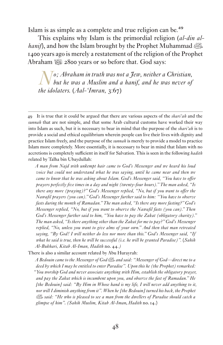Islam is as simple as a complete and true religion can be.<sup>49</sup>

This explains why Islam is the primordial religion (*al-din alhanif*), and how the Islam brought by the Prophet Muhammad ! 1400 years ago is merely a restatement of the religion of the Prophet Abraham  $\mathbb{Z}$  2800 years or so before that. God says:

N*o; Abraham in truth was not a Jew, neither a Christian, but he was a Muslim and a hanif, and he was never of the idolaters.* (*Aal-'Imran,* 3:67)

*A man from Najd with unkempt hair came to God's Messenger and we heard his loud voice but could not understand what he was saying, until he came near and then we came to know that he was asking about Islam. God's Messenger said, "You have to offer prayers perfectly five times in a day and night (twenty-four hours)." The man asked, "Is there any more (praying)?" God's Messenger replied, "No, but if you want to offer the Nawa+l prayers (you can)." God's Messenger further said to him: "You have to observe fasts during the month of Ramadan." The man asked, "Is there any more fasting?" God's Messenger replied, "No, but if you want to observe the Nawafil fasts (you can)." Then God's Messenger further said to him, "You have to pay the Zakat (obligatory charity)." The man asked, "Is there anything other than the Zakat for me to pay?" God's Messenger replied, "No, unless you want to give alms of your own." And then that man retreated saying, "By God! I will neither do less nor more than this." God's Messenger said, "If what he said is true, then he will be successful (i.e. he will be granted Paradise)".* (*Sahih Al-Bukhari, Kitab Al-Iman, Hadith* no. 44*.)*

There is also a similar account related by Abu Hurayrah:

*A Bedouin came to the Messenger of God*!*and said: "Messenger of God—direct me to a deed by which I may be entitled to enter Paradise". Upon this he (the Prophet) remarked: "You worship God and never associate anything with Him, establish the obligatory prayer, and pay the Zakat which is incumbent upon you, and observe the fast of Ramadan." He [the Bedouin] said: "By Him in Whose hand is my life, I will never add anything to it, nor will I diminish anything from it". When he [the Bedouin] turned his back, the Prophet* !*said: "He who is pleased to see a man from the dwellers of Paradise should catch a glimpse of him"*. *(Sahih Muslim, Kitab Al-Iman*, *Hadith* no. 14.)

<sup>49</sup> It is true that it could be argued that there are various aspects of the *shari'ah* and the *sunnah* that are not simple, and that some Arab cultural customs have worked their way into Islam as such, but it is necessary to bear in mind that the purpose of the *shari'ah* is to provide a social and ethical equilibrium wherein people can live their lives with dignity and practice Islam freely, and the purpose of the *sunnah* is merely to provide a model to practice Islam more completely. More essentially, it is necessary to bear in mind that Islam with no accretions is completely sufficient in itself for Salvation. This is seen in the following *hadith* related by Talha bin Ubaydullah: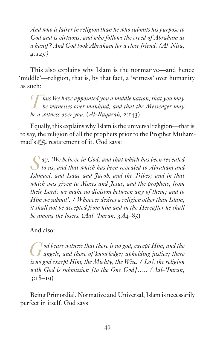*And who is fairer in religion than he who submits his purpose to God and is virtuous, and who follows the creed of Abraham as a hanif ? And God took Abraham for a close friend. (Al-Nisa, 4:125)*

This also explains why Islam is the normative—and hence 'middle'—religion, that is, by that fact, a 'witness' over humanity as such:

T*hus We have appointed you a middle nation, that you may be witnesses over mankind, and that the Messenger may be a witness over you.* (*Al-Baqarah,* 2:143)

Equally, this explains why Islam is the universal religion—that is to say, the religion of all the prophets prior to the Prophet Muhammad's السَّخِيَّةِ restatement of it. God says:

S *ay, 'We believe in God, and that which has been revealed to us, and that which has been revealed to Abraham and Ishmael, and Isaac and Jacob, and the Tribes; and in that which was given to Moses and Jesus, and the prophets, from their Lord; we make no division between any of them; and to Him we submit'. / Whoever desires a religion other than Islam, it shall not be accepted from him and in the Hereafter he shall be among the losers.* (*Aal-'Imran,* 3:84–85)

And also:

G*od bears witness that there is no god, except Him, and the angels, and those of knowledge; upholding justice; there is no god except Him, the Mighty, the Wise. / Lo!, the religion with God is submission [to the One God]….. (Aal-'Imran,*   $3:18-19$ 

Being Primordial, Normative and Universal, Islam is necessarily perfect in itself. God says: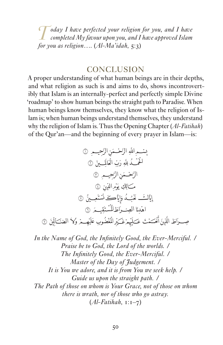T*oday I have perfected your religion for you, and I have completed My favour upon you, and I have approved Islam for you as religion….* (*Al-Ma'idah,* 5:3)

#### **CONCLUSION**

A proper understanding of what human beings are in their depths, and what religion as such is and aims to do, shows incontrovertibly that Islam is an internally-perfect and perfectly simple Divine 'roadmap' to show human beings the straight path to Paradise. When human beings know themselves, they know what the religion of Islam is; when human beings understand themselves, they understand why the religion of Islam is. Thus the Opening Chapter (*Al-Fatihah*) of the Qur'an—and the beginning of every prayer in Islam—is:

ن الرَّحِيــمِ ١ # A ) & M بِسْــمِرِاللَّهِ الرَّحْــمَږ # A ) # M لِـــينَ ۞ M í رَبّ الْعَالِمَ Y i ) # .<br>نَـــُـدُ لِلَّهِ رَء # % P j<br>F i ) & ن الرَّحِيمِ ١ # A ) & M إرتخم # A ) & ڪالِكِ يَوْمِرالدِّينِ ۞ M L # 1 ) & P j @A اًك<sup>َ نُسْتَعِــينُ ۞</sup> M M # ا يا<br>چ rs ةٍ-<br>أطالَسْتَقِيــمَ ۞ أَلْفَ نَعْبُدُ وَإِ M P M Y # ا پا<br>ء rs :<br>إطالكُ í Y ) ) نا الصِّــرَا ) M l اهڊ P يُمِــــــز وَلاَ الضــَـــالِّينَ ۞ M .<br>1 @A ) ) & P  $\mathbf{A}$ يُهِمْ غَـكِزِ الْمَغْضُوبِ عَلَي<sub>ْ</sub> j P M í Y ) & P P í نْحَمْتَ عَكَلَا j P M .<br>لَمْيِنَ أَنْ & M L M |<br>|<br>| صِـرَاطَ الَّه # @A ) )

*In the Name of God, the Infinitely Good, the Ever-Merciful. / Praise be to God, the Lord of the worlds. / The Infinitely Good, the Ever-Merciful. / Master of the Day of Judgement. / It is You we adore, and it is from You we seek help. / Guide us upon the straight path. / The Path of those on whom is Your Grace, not of those on whom there is wrath, nor of those who go astray.*  (*Al-Fatihah,* 1:1–7)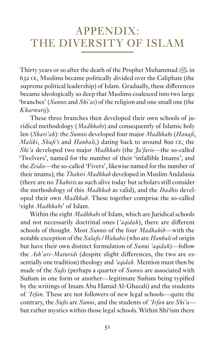## APPENDIX: THE DIVERSITY OF ISLAM

Thirty years or so after the death of the Prophet Muhammad ! in 632 ce, Muslims became politically divided over the Caliphate (the supreme political leadership) of Islam. Gradually, these differences became ideologically so deep that Muslims coalesced into two large 'branches' (*Sunnis* and *Shi'as*) of the religion and one small one (the *Kharwarij*).

These three branches then developed their own schools of juridical methodology (*Madhhabs*) and consequently of Islamic holy law (*Shari'ah*): the *Sunnis* developed four major *Madhhabs* (*Hanafi*, *Maliki*, *Shafi'i* and *Hanbali*, *dating back to around 800 CE; the Shi'a* developed two major *Madhhabs* (the *Ja'faris*—the so-called 'Twelvers', named for the number of their 'infallible Imams'; and the *Zeidis*—the so-called 'Fivers', likewise named for the number of their imams); the *Thahiri Madhhab* developed in Muslim Andalusia (there are no *Thahiris* as such alive today but scholars still consider the methodology of this *Madhhab* as valid), and the *Ibadhis* developed their own *Madhhab*. These together comprise the so-called 'eight *Madhhabs*' of Islam.

Within the eight *Madhhabs* of Islam, which are Juridical schools and not necessarily doctrinal ones ('aqidah), there are different schools of thought. Most *Sunnis* of the four *Madhahib*—with the notable exception of the *Salafis* / *Wahabis* (who are *Hanbali* of origin but have their own distinct formulation of *Sunni 'aqidah*)—follow the *Ash'ari-Maturidi* (despite slight differences, the two are essentially one tradition) theology and *'aqidah*. Mention must then be made of the *Sufis* (perhaps a quarter of *Sunnis* are associated with Sufism in one form or another—legitimate Sufism being typified by the writings of Imam Abu Hamid Al-Ghazali) and the students of *'Irfan*. These are not followers of new legal schools—quite the contrary, the *Sufis* are *Sunni*, and the students of *'Irfan* are *Shi'a* but rather mystics within those legal schools. Within Shi'ism there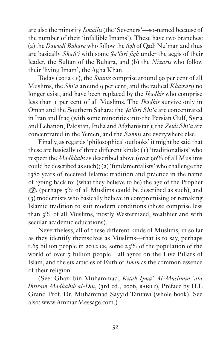are also the minority *Ismailis* (the 'Seveners'—so-named because of the number of their 'infallible Imams'). These have two branches: (a) the *Dawudi Buhara* who follow the *figh* of Qadi Nu'man and thus are basically *Shafi'i* with some *Ia'fari fiah* under the aegis of their leader, the Sultan of the Buhara, and (b) the *Nizaris* who follow their 'living Imam', the Agha Khan.

Today (2012 CE), the *Sunnis* comprise around 90 per cent of all Muslims, the *Shi'a* around 9 per cent, and the radical *Khawarij* no longer exist, and have been replaced by the *Ibadhis* who comprise less than 1 per cent of all Muslims. The *Ibadhis* survive only in Oman and the Southern Sahara; the *Ja'fari Shi'a* are concentrated in Iran and Iraq (with some minorities into the Persian Gulf, Syria and Lebanon, Pakistan, India and Afghanistan); the *Zeidi Shi'a* are concentrated in the Yemen, and the *Sunnis* are everywhere else.

Finally, as regards 'philosophical outlooks' it might be said that these are basically of three different kinds: (1) 'traditionalists' who respect the *Madhhabs* as described above (over 90% of all Muslims could be described as such); (2) 'fundamentalists' who challenge the 1380 years of received Islamic tradition and practice in the name of 'going back to' (what they believe to be) the age of the Prophet  $\mathbb{R}^n$  (perhaps 5% of all Muslims could be described as such), and (3) modernists who basically believe in compromising or remaking Islamic tradition to suit modern conditions (these comprise less than 3% of all Muslims, mostly Westernized, wealthier and with secular academic educations).

Nevertheless, all of these different kinds of Muslims, in so far as they identify themselves as Muslims—that is to say, perhaps 1.65 billion people in 2012 CE, some  $23\%$  of the population of the world of over 7 billion people—all agree on the Five Pillars of Islam, and the six articles of Faith of *Iman* as the common essence of their religion.

(See: Ghazi bin Muhammad, *Kitab Ijma' Al-Muslimin 'ala Ihtiram Madhahib al-Din*, (3rd ed., 2006, RABIIT), Preface by H.E. Grand Prof. Dr. Muhammad Sayyid Tantawi (whole book). See also: www.AmmanMessage.com.)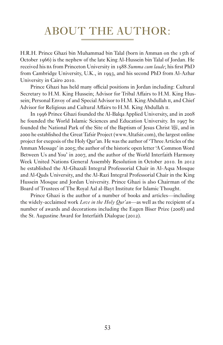## ABOUT THE AUTHOR:

H.R.H. Prince Ghazi bin Muhammad bin Talal (born in Amman on the 15th of October 1966) is the nephew of the late King Al-Hussein bin Talal of Jordan. He received his BA from Princeton University in 1988 *Summa cum laude*; his first PhD from Cambridge University, U.K., in 1993, and his second PhD from Al-Azhar University in Cairo 2010.

Prince Ghazi has held many official positions in Jordan including: Cultural Secretary to H.M. King Hussein; Advisor for Tribal Affairs to H.M. King Hussein; Personal Envoy of and Special Advisor to H.M. King Abdullah II, and Chief Advisor for Religious and Cultural Affairs to H.M. King Abdullah II.

In 1996 Prince Ghazi founded the Al-Balqa Applied University, and in 2008 he founded the World Islamic Sciences and Education University. In 1997 he founded the National Park of the Site of the Baptism of Jesus Christ  $\mathbb{Z}$ , and in 2000 he established the Great Tafsir Project (www.Altafsir.com), the largest online project for exegesis of the Holy Qur'an. He was the author of 'Three Articles of the Amman Message' in 2005; the author of the historic open letter 'A Common Word Between Us and You' in 2007, and the author of the World Interfaith Harmony Week United Nations General Assembly Resolution in October 2010. In 2012 he established the Al-Ghazali Integral Professorial Chair in Al-Aqsa Mosque and Al-Quds University, and the Al-Razi Integral Professorial Chair in the King Hussein Mosque and Jordan University. Prince Ghazi is also Chairman of the Board of Trustees of The Royal Aal al-Bayt Institute for Islamic Thought.

Prince Ghazi is the author of a number of books and articles—including the widely-acclaimed work *Love in the Holy Qur'an*—as well as the recipient of a number of awards and decorations including the Eugen Biser Prize (2008) and the St. Augustine Award for Interfaith Dialogue (2012).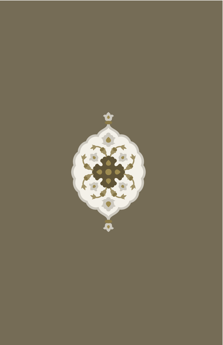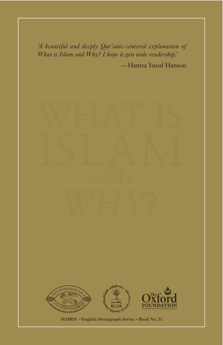'A beautiful and deeply Qur'anic-centered explanation of What is Islam and Why? I hope it gets wide readership.' -Hamza Yusuf Hanson







MABDA . English Monograph Series . Book No. 21